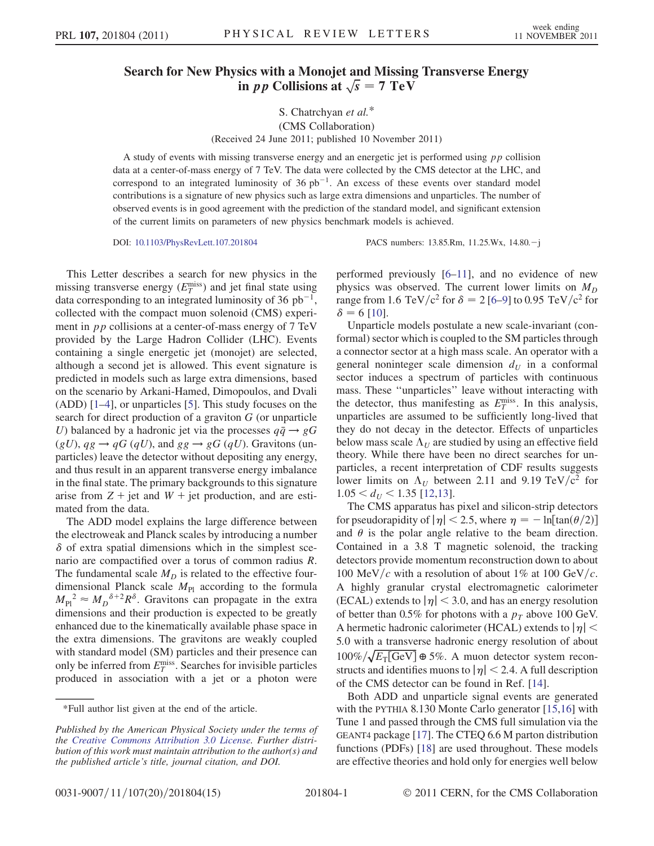## Search for New Physics with a Monojet and Missing Transverse Energy in *pp* Collisions at  $\sqrt{s} = 7 \text{ TeV}$

## S. Chatrchyan et al.\* (CMS Collaboration) (Received 24 June 2011; published 10 November 2011)

A study of events with missing transverse energy and an energetic jet is performed using pp collision data at a center-of-mass energy of 7 TeV. The data were collected by the CMS detector at the LHC, and correspond to an integrated luminosity of 36  $pb^{-1}$ . An excess of these events over standard model contributions is a signature of new physics such as large extra dimensions and unparticles. The number of observed events is in good agreement with the prediction of the standard model, and significant extension of the current limits on parameters of new physics benchmark models is achieved.

DOI: 10.1103/PhysRevLett.107.201804 PACS numbers: 13.85.Rm, 11.25.Wx, 14.80.j

This Letter describes a search for new physics in the missing transverse energy  $(E_T^{\text{miss}})$  and jet final state using data corresponding to an integrated luminosity of 36  $pb^{-1}$ , collected with the compact muon solenoid (CMS) experiment in *pp* collisions at a center-of-mass energy of 7 TeV provided by the Large Hadron Collider (LHC). Events containing a single energetic jet (monojet) are selected, although a second jet is allowed. This event signature is predicted in models such as large extra dimensions, based on the scenario by Arkani-Hamed, Dimopoulos, and Dvali (ADD) [1–4], or unparticles [5]. This study focuses on the search for direct production of a graviton G (or unparticle U) balanced by a hadronic jet via the processes  $q\bar{q} \rightarrow gG$  $(gU)$ ,  $qg \rightarrow qG (qU)$ , and  $gg \rightarrow gG (qU)$ . Gravitons (unparticles) leave the detector without depositing any energy, and thus result in an apparent transverse energy imbalance in the final state. The primary backgrounds to this signature arise from  $Z + jet$  and  $W + jet$  production, and are estimated from the data.

The ADD model explains the large difference between the electroweak and Planck scales by introducing a number  $\delta$  of extra spatial dimensions which in the simplest scenario are compactified over a torus of common radius R. The fundamental scale  $M_D$  is related to the effective fourdimensional Planck scale  $M_{\text{Pl}}$  according to the formula  $M_{\text{Pl}}^2 \approx M_D^{\delta+2} R^{\delta}$ . Gravitons can propagate in the extra dimensions and their production is expected to be greatly enhanced due to the kinematically available phase space in the extra dimensions. The gravitons are weakly coupled with standard model (SM) particles and their presence can only be inferred from  $E_T^{\text{miss}}$ . Searches for invisible particles produced in association with a jet or a photon were performed previously [6–11], and no evidence of new physics was observed. The current lower limits on  $M_D$ range from 1.6 TeV/c<sup>2</sup> for  $\delta = 2$  [6–9] to 0.95 TeV/c<sup>2</sup> for  $\delta = 6$  [10].

Unparticle models postulate a new scale-invariant (conformal) sector which is coupled to the SM particles through a connector sector at a high mass scale. An operator with a general noninteger scale dimension  $d_U$  in a conformal sector induces a spectrum of particles with continuous mass. These ''unparticles'' leave without interacting with the detector, thus manifesting as  $E_T^{\text{miss}}$ . In this analysis, unparticles are assumed to be sufficiently long-lived that they do not decay in the detector. Effects of unparticles below mass scale  $\Lambda_U$  are studied by using an effective field theory. While there have been no direct searches for unparticles, a recent interpretation of CDF results suggests lower limits on  $\Lambda_U$  between 2.11 and 9.19 TeV/c<sup>2</sup> for  $1.05 < d<sub>U</sub> < 1.35$  [12,13].

The CMS apparatus has pixel and silicon-strip detectors for pseudorapidity of  $|\eta| < 2.5$ , where  $\eta = -\ln[\tan(\theta/2)]$ and  $\theta$  is the polar angle relative to the beam direction. Contained in a 3.8 T magnetic solenoid, the tracking detectors provide momentum reconstruction down to about 100 MeV/c with a resolution of about 1% at 100 GeV/c. A highly granular crystal electromagnetic calorimeter (ECAL) extends to  $|\eta| < 3.0$ , and has an energy resolution of better than 0.5% for photons with a  $p<sub>T</sub>$  above 100 GeV. A hermetic hadronic calorimeter (HCAL) extends to  $|\eta|$  < 5:0 with a transverse hadronic energy resolution of about  $100\% / \sqrt{E_T[\text{GeV}]}\oplus 5\%$ . A muon detector system reconstructs and identifies muons to  $|\eta|$  < 2.4. A full description of the CMS detector can be found in Ref. [14].

Both ADD and unparticle signal events are generated with the PYTHIA 8.130 Monte Carlo generator [15,16] with Tune 1 and passed through the CMS full simulation via the GEANT4 package [17]. The CTEQ 6.6 M parton distribution functions (PDFs) [18] are used throughout. These models are effective theories and hold only for energies well below

<sup>\*</sup>Full author list given at the end of the article.

Published by the American Physical Society under the terms of the Creative Commons Attribution 3.0 License. Further distribution of this work must maintain attribution to the author(s) and the published article's title, journal citation, and DOI.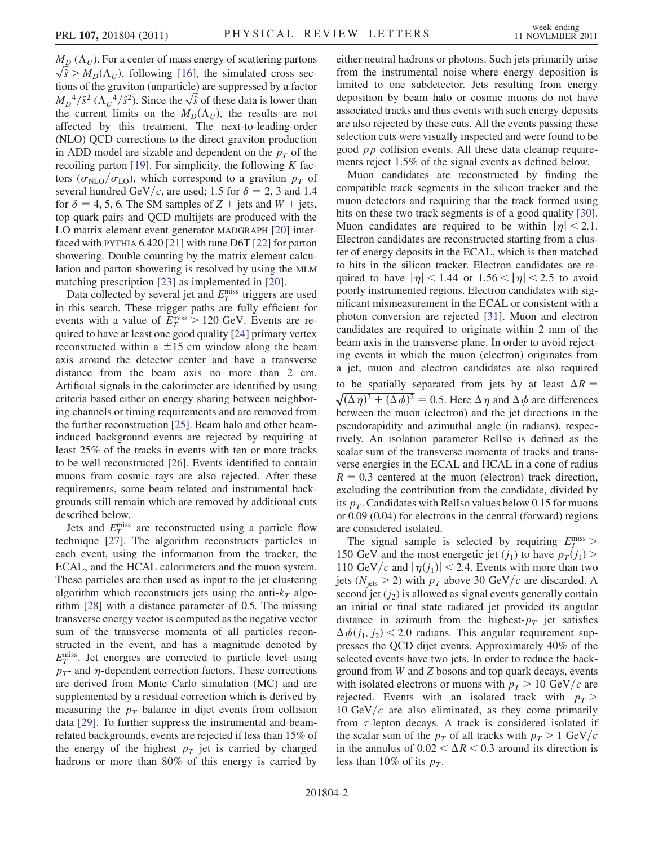$M_D(\Lambda_U)$ . For a center of mass energy of scattering partons  $\sqrt{\hat{s}} > M_D(\Lambda_U)$ , following [16], the simulated cross sections of the graviton (unparticle) are suppressed by a factor  $M_D^{4}/\hat{s}^2 (\Lambda_U^{4}/\hat{s}^2)$ . Since the  $\sqrt{\hat{s}}$  of these data is lower than the current limits on the  $M_D(\Lambda_U)$ , the results are not affected by this treatment. The next-to-leading-order (NLO) QCD corrections to the direct graviton production in ADD model are sizable and dependent on the  $p_T$  of the recoiling parton [19]. For simplicity, the following  $K$  factors ( $\sigma_{\text{NLO}}/\sigma_{\text{LO}}$ ), which correspond to a graviton  $p_T$  of several hundred GeV/c, are used; 1.5 for  $\delta = 2$ , 3 and 1.4 for  $\delta = 4, 5, 6$ . The SM samples of  $Z +$  jets and  $W +$  jets, top quark pairs and QCD multijets are produced with the LO matrix element event generator MADGRAPH [20] interfaced with PYTHIA 6.420 [21] with tune D6T [22] for parton showering. Double counting by the matrix element calculation and parton showering is resolved by using the MLM matching prescription [23] as implemented in [20].

Data collected by several jet and  $E_T^{\text{miss}}$  triggers are used in this search. These trigger paths are fully efficient for events with a value of  $E_T^{\text{miss}} > 120 \text{ GeV}$ . Events are required to have at least one good quality [24] primary vertex reconstructed within a  $\pm 15$  cm window along the beam axis around the detector center and have a transverse distance from the beam axis no more than 2 cm. Artificial signals in the calorimeter are identified by using criteria based either on energy sharing between neighboring channels or timing requirements and are removed from the further reconstruction [25]. Beam halo and other beaminduced background events are rejected by requiring at least 25% of the tracks in events with ten or more tracks to be well reconstructed [26]. Events identified to contain muons from cosmic rays are also rejected. After these requirements, some beam-related and instrumental backgrounds still remain which are removed by additional cuts described below.

Jets and  $E_T^{\text{miss}}$  are reconstructed using a particle flow technique [27]. The algorithm reconstructs particles in each event, using the information from the tracker, the ECAL, and the HCAL calorimeters and the muon system. These particles are then used as input to the jet clustering algorithm which reconstructs jets using the anti- $k<sub>T</sub>$  algorithm [28] with a distance parameter of 0.5. The missing transverse energy vector is computed as the negative vector sum of the transverse momenta of all particles reconstructed in the event, and has a magnitude denoted by  $E_T^{\text{miss}}$ . Jet energies are corrected to particle level using  $p_T$ - and  $\eta$ -dependent correction factors. These corrections are derived from Monte Carlo simulation (MC) and are supplemented by a residual correction which is derived by measuring the  $p_T$  balance in dijet events from collision data [29]. To further suppress the instrumental and beamrelated backgrounds, events are rejected if less than 15% of the energy of the highest  $p<sub>T</sub>$  jet is carried by charged hadrons or more than 80% of this energy is carried by either neutral hadrons or photons. Such jets primarily arise from the instrumental noise where energy deposition is limited to one subdetector. Jets resulting from energy deposition by beam halo or cosmic muons do not have associated tracks and thus events with such energy deposits are also rejected by these cuts. All the events passing these selection cuts were visually inspected and were found to be good pp collision events. All these data cleanup requirements reject 1.5% of the signal events as defined below.

Muon candidates are reconstructed by finding the compatible track segments in the silicon tracker and the muon detectors and requiring that the track formed using hits on these two track segments is of a good quality [30]. Muon candidates are required to be within  $|\eta| < 2.1$ . Electron candidates are reconstructed starting from a cluster of energy deposits in the ECAL, which is then matched to hits in the silicon tracker. Electron candidates are required to have  $|\eta| < 1.44$  or  $1.56 < |\eta| < 2.5$  to avoid poorly instrumented regions. Electron candidates with significant mismeasurement in the ECAL or consistent with a photon conversion are rejected [31]. Muon and electron candidates are required to originate within 2 mm of the beam axis in the transverse plane. In order to avoid rejecting events in which the muon (electron) originates from a jet, muon and electron candidates are also required to be spatially separated from jets by at least  $\Delta R = \sqrt{(\Delta \eta)^2 + (\Delta \phi)^2} = 0.5$ . Here  $\Delta \eta$  and  $\Delta \phi$  are differences between the muon (electron) and the jet directions in the pseudorapidity and azimuthal angle (in radians), respectively. An isolation parameter RelIso is defined as the scalar sum of the transverse momenta of tracks and transverse energies in the ECAL and HCAL in a cone of radius  $R = 0.3$  centered at the muon (electron) track direction, excluding the contribution from the candidate, divided by its  $p_T$ . Candidates with RelIso values below 0.15 for muons or 0.09 (0.04) for electrons in the central (forward) regions are considered isolated.

The signal sample is selected by requiring  $E_T^{\text{miss}}$  > 150 GeV and the most energetic jet  $(j_1)$  to have  $p_T(j_1)$ 110 GeV/c and  $|\eta(j_1)|$  < 2.4. Events with more than two jets ( $N_{\text{jets}} > 2$ ) with  $p_T$  above 30 GeV/c are discarded. A second jet  $(j_2)$  is allowed as signal events generally contain an initial or final state radiated jet provided its angular distance in azimuth from the highest- $p<sub>T</sub>$  jet satisfies  $\Delta\phi(j_1, j_2)$  < 2.0 radians. This angular requirement suppresses the QCD dijet events. Approximately 40% of the selected events have two jets. In order to reduce the background from W and Z bosons and top quark decays, events with isolated electrons or muons with  $p_T > 10 \text{ GeV}/c$  are rejected. Events with an isolated track with  $p_T >$ 10 GeV/ $c$  are also eliminated, as they come primarily from  $\tau$ -lepton decays. A track is considered isolated if the scalar sum of the  $p<sub>T</sub>$  of all tracks with  $p<sub>T</sub> > 1$  GeV/c in the annulus of  $0.02 < \Delta R < 0.3$  around its direction is less than 10% of its  $p_T$ .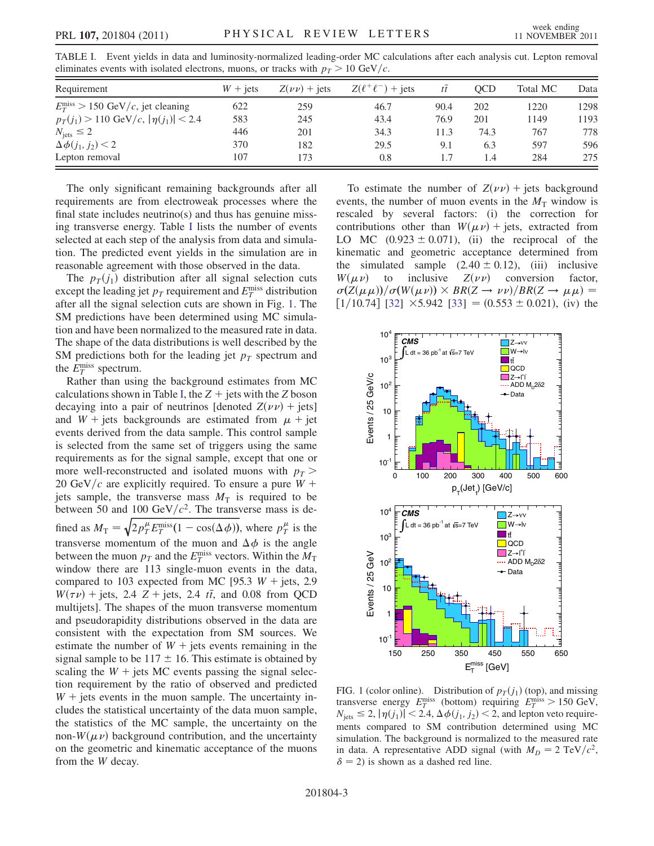| TABLE I. Event yields in data and luminosity-normalized leading-order MC calculations after each analysis cut. Lepton removal |  |
|-------------------------------------------------------------------------------------------------------------------------------|--|
| eliminates events with isolated electrons, muons, or tracks with $p_T > 10 \text{ GeV}/c$ .                                   |  |

| Requirement                                            | $W + iets$ | $Z(\nu\nu)$ + jets | $Z(\ell^+\ell^-)$ + jets | $t\bar{t}$ | OCD  | Total MC | Data |
|--------------------------------------------------------|------------|--------------------|--------------------------|------------|------|----------|------|
| $E_T^{\text{miss}} > 150 \text{ GeV}/c$ , jet cleaning | 622        | 259                | 46.7                     | 90.4       | 202  | 1220     | 1298 |
| $p_T(j_1) > 110 \text{ GeV}/c,  \eta(j_1)  < 2.4$      | 583        | 245                | 43.4                     | 76.9       | 201  | 1149     | 1193 |
| $N_{\text{jets}} \leq 2$                               | 446        | 201                | 34.3                     | 11.3       | 74.3 | 767      | 778  |
| $\Delta \phi(j_1, j_2) < 2$                            | 370        | 182                | 29.5                     | 9.1        | 6.3  | 597      | 596  |
| Lepton removal                                         | 107        | 173                | 0.8                      | 1.7        | 1.4  | 284      | 275  |

The only significant remaining backgrounds after all requirements are from electroweak processes where the final state includes neutrino(s) and thus has genuine missing transverse energy. Table I lists the number of events selected at each step of the analysis from data and simulation. The predicted event yields in the simulation are in reasonable agreement with those observed in the data.

The  $p_T(j_1)$  distribution after all signal selection cuts except the leading jet  $p_T$  requirement and  $E_T^{\text{miss}}$  distribution after all the signal selection cuts are shown in Fig. 1. The SM predictions have been determined using MC simulation and have been normalized to the measured rate in data. The shape of the data distributions is well described by the SM predictions both for the leading jet  $p<sub>T</sub>$  spectrum and the  $E_T^{\text{miss}}$  spectrum.

Rather than using the background estimates from MC calculations shown in Table I, the  $Z +$  jets with the Z boson decaying into a pair of neutrinos [denoted  $Z(\nu \nu)$  + jets] and  $W$  + jets backgrounds are estimated from  $\mu$  + jet events derived from the data sample. This control sample is selected from the same set of triggers using the same requirements as for the signal sample, except that one or more well-reconstructed and isolated muons with  $p_T$  > 20 GeV/c are explicitly required. To ensure a pure  $W$  + jets sample, the transverse mass  $M<sub>T</sub>$  is required to be between 50 and 100 GeV/ $c^2$ . The transverse mass is defined as  $M_T = \sqrt{2p_T^{\mu}E_T^{\text{miss}}(1 - \cos(\Delta \phi))}$ , where  $p_T^{\mu}$  is the transverse momentum of the muon and  $\Delta \phi$  is the angle between the muon  $p_T$  and the  $E_T^{\text{miss}}$  vectors. Within the  $M_T$ window there are 113 single-muon events in the data, compared to 103 expected from MC [95.3  $W +$  jets, 2.9  $W(\tau \nu)$  + jets, 2.4 Z + jets, 2.4  $t\bar{t}$ , and 0.08 from QCD multijets]. The shapes of the muon transverse momentum and pseudorapidity distributions observed in the data are consistent with the expectation from SM sources. We estimate the number of  $W +$  jets events remaining in the signal sample to be  $117 \pm 16$ . This estimate is obtained by scaling the  $W +$  jets MC events passing the signal selection requirement by the ratio of observed and predicted  $W$  + jets events in the muon sample. The uncertainty includes the statistical uncertainty of the data muon sample, the statistics of the MC sample, the uncertainty on the non- $W(\mu \nu)$  background contribution, and the uncertainty on the geometric and kinematic acceptance of the muons from the W decay.

To estimate the number of  $Z(\nu\nu)$  + jets background events, the number of muon events in the  $M<sub>T</sub>$  window is rescaled by several factors: (i) the correction for contributions other than  $W(\mu\nu)$  + jets, extracted from LO MC  $(0.923 \pm 0.071)$ , (ii) the reciprocal of the kinematic and geometric acceptance determined from the simulated sample  $(2.40 \pm 0.12)$ , (iii) inclusive<br> $W(\mu \nu)$  to inclusive  $Z(\nu \nu)$  conversion factor.  $W(\mu \nu)$  to inclusive  $Z(\nu \nu)$  conversion factor,  $\sigma(Z(\mu\mu))/\sigma(W(\mu\nu)) \times BR(Z \to \nu\nu)/BR(Z \to \mu\mu) =$  $[1/10.74]$  [32]  $\times$ 5.942 [33] = (0.553  $\pm$  0.021), (iv) the



FIG. 1 (color online). Distribution of  $p_T(j_1)$  (top), and missing transverse energy  $E_T^{\text{miss}}$  (bottom) requiring  $E_T^{\text{miss}} > 150 \text{ GeV}$ ,  $N_{\text{jets}} \leq 2, |\eta(j_1)| < 2.4, \Delta \phi(j_1, j_2) < 2$ , and lepton veto requirements compared to SM contribution determined using MC simulation. The background is normalized to the measured rate in data. A representative ADD signal (with  $M_D = 2 \text{ TeV}/c^2$ ,  $\delta$  = 2) is shown as a dashed red line.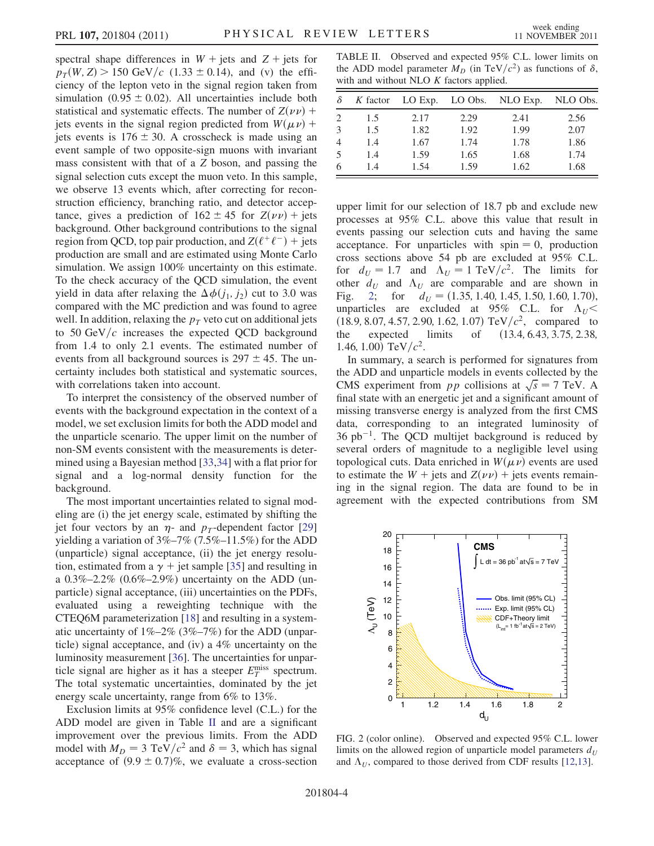spectral shape differences in  $W +$  jets and  $Z +$  jets for  $p_T(W, Z) > 150 \text{ GeV}/c$  (1.33  $\pm$  0.14), and (v) the efficiency of the lepton veto in the signal region taken from simulation (0.95  $\pm$  0.02). All uncertainties include both statistical and systematic effects. The number of  $Z(\nu\nu)$  + jets events in the signal region predicted from  $W(\mu \nu)$  + jets events is  $176 \pm 30$ . A crosscheck is made using an event sample of two opposite-sign muons with invariant mass consistent with that of a Z boson, and passing the signal selection cuts except the muon veto. In this sample, we observe 13 events which, after correcting for reconstruction efficiency, branching ratio, and detector acceptance, gives a prediction of  $162 \pm 45$  for  $Z(\nu \nu)$  + jets background. Other background contributions to the signal region from QCD, top pair production, and  $Z(\ell^+\ell^-)$  + jets production are small and are estimated using Monte Carlo simulation. We assign 100% uncertainty on this estimate. To the check accuracy of the QCD simulation, the event yield in data after relaxing the  $\Delta \phi(j_1, j_2)$  cut to 3.0 was compared with the MC prediction and was found to agree well. In addition, relaxing the  $p<sub>T</sub>$  veto cut on additional jets to 50 GeV/ $c$  increases the expected QCD background from 1.4 to only 2.1 events. The estimated number of events from all background sources is  $297 \pm 45$ . The uncertainty includes both statistical and systematic sources, with correlations taken into account.

To interpret the consistency of the observed number of events with the background expectation in the context of a model, we set exclusion limits for both the ADD model and the unparticle scenario. The upper limit on the number of non-SM events consistent with the measurements is determined using a Bayesian method [33,34] with a flat prior for signal and a log-normal density function for the background.

The most important uncertainties related to signal modeling are (i) the jet energy scale, estimated by shifting the jet four vectors by an  $\eta$ - and  $p_T$ -dependent factor [29] yielding a variation of 3%–7% (7.5%–11.5%) for the ADD (unparticle) signal acceptance, (ii) the jet energy resolution, estimated from a  $\gamma$  + jet sample [35] and resulting in a 0.3%–2.2% (0.6%–2.9%) uncertainty on the ADD (unparticle) signal acceptance, (iii) uncertainties on the PDFs, evaluated using a reweighting technique with the CTEQ6M parameterization [18] and resulting in a systematic uncertainty of 1%–2% (3%–7%) for the ADD (unparticle) signal acceptance, and (iv) a 4% uncertainty on the luminosity measurement [36]. The uncertainties for unparticle signal are higher as it has a steeper  $E_T^{\text{miss}}$  spectrum. The total systematic uncertainties, dominated by the jet energy scale uncertainty, range from 6% to 13%.

Exclusion limits at 95% confidence level (C.L.) for the ADD model are given in Table II and are a significant improvement over the previous limits. From the ADD model with  $M_D = 3 \text{ TeV}/c^2$  and  $\delta = 3$ , which has signal acceptance of  $(9.9 \pm 0.7)\%$ , we evaluate a cross-section

TABLE II. Observed and expected 95% C.L. lower limits on the ADD model parameter  $M_D$  (in TeV/ $c^2$ ) as functions of  $\delta$ , with and without NLO  $K$  factors applied.

| $\delta$                    | K factor | LO Exp. | LO Obs. | NLO Exp. | NLO Obs. |
|-----------------------------|----------|---------|---------|----------|----------|
| $\mathcal{D}_{\mathcal{L}}$ | 1.5      | 2.17    | 2.29    | 2.41     | 2.56     |
| $\mathcal{F}$               | 1.5      | 1.82    | 1.92    | 1.99     | 2.07     |
| $\overline{4}$              | 1.4      | 1.67    | 1.74    | 1.78     | 1.86     |
| 5                           | 1.4      | 1.59    | 1.65    | 1.68     | 1.74     |
| 6                           | 1.4      | 1.54    | 1.59    | 1.62     | 1.68     |

upper limit for our selection of 18.7 pb and exclude new processes at 95% C.L. above this value that result in events passing our selection cuts and having the same acceptance. For unparticles with spin  $= 0$ , production cross sections above 54 pb are excluded at 95% C.L. for  $d_U = 1.7$  and  $\Lambda_U = 1 \text{ TeV}/c^2$ . The limits for other  $d_U$  and  $\Lambda_U$  are comparable and are shown in Fig. 2; for  $d_U = (1.35, 1.40, 1.45, 1.50, 1.60, 1.70)$ , unparticles are excluded at 95% C.L. for  $\Lambda_U$  < (18.9, 8.07, 4.57, 2.90, 1.62, 1.07) TeV/ $c^2$ , compared to the expected limits of (13.4, 6.43, 3.75, 2.38,  $(13.4, 6.43, 3.75, 2.38,$ 1.46, 1.00) TeV/ $c^2$ .

In summary, a search is performed for signatures from the ADD and unparticle models in events collected by the CMS experiment from pp collisions at  $\sqrt{s} = 7$  TeV. A final state with an energetic jet and a significant amount of missing transverse energy is analyzed from the first CMS data, corresponding to an integrated luminosity of  $36$  pb<sup>-1</sup>. The QCD multijet background is reduced by several orders of magnitude to a negligible level using topological cuts. Data enriched in  $W(\mu\nu)$  events are used to estimate the  $W$  + jets and  $Z(\nu \nu)$  + jets events remaining in the signal region. The data are found to be in agreement with the expected contributions from SM



FIG. 2 (color online). Observed and expected 95% C.L. lower limits on the allowed region of unparticle model parameters  $d_U$ and  $\Lambda_U$ , compared to those derived from CDF results [12,13].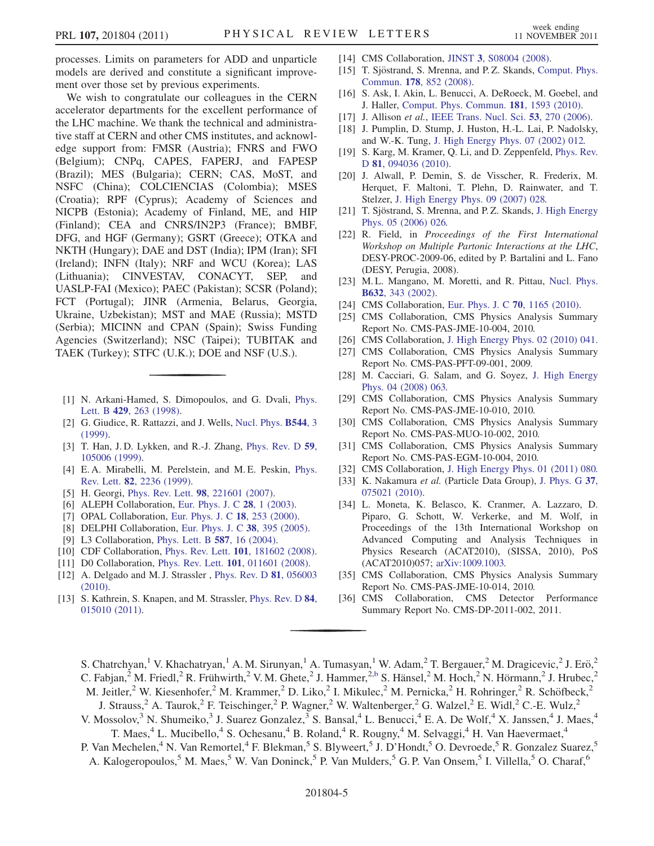processes. Limits on parameters for ADD and unparticle models are derived and constitute a significant improvement over those set by previous experiments.

We wish to congratulate our colleagues in the CERN accelerator departments for the excellent performance of the LHC machine. We thank the technical and administrative staff at CERN and other CMS institutes, and acknowledge support from: FMSR (Austria); FNRS and FWO (Belgium); CNPq, CAPES, FAPERJ, and FAPESP (Brazil); MES (Bulgaria); CERN; CAS, MoST, and NSFC (China); COLCIENCIAS (Colombia); MSES (Croatia); RPF (Cyprus); Academy of Sciences and NICPB (Estonia); Academy of Finland, ME, and HIP (Finland); CEA and CNRS/IN2P3 (France); BMBF, DFG, and HGF (Germany); GSRT (Greece); OTKA and NKTH (Hungary); DAE and DST (India); IPM (Iran); SFI (Ireland); INFN (Italy); NRF and WCU (Korea); LAS (Lithuania); CINVESTAV, CONACYT, SEP, and UASLP-FAI (Mexico); PAEC (Pakistan); SCSR (Poland); FCT (Portugal); JINR (Armenia, Belarus, Georgia, Ukraine, Uzbekistan); MST and MAE (Russia); MSTD (Serbia); MICINN and CPAN (Spain); Swiss Funding Agencies (Switzerland); NSC (Taipei); TUBITAK and TAEK (Turkey); STFC (U.K.); DOE and NSF (U.S.).

- [1] N. Arkani-Hamed, S. Dimopoulos, and G. Dvali, Phys. Lett. B 429, 263 (1998).
- [2] G. Giudice, R. Rattazzi, and J. Wells, Nucl. Phys. **B544**, 3 (1999).
- [3] T. Han, J.D. Lykken, and R.-J. Zhang, Phys. Rev. D 59, 105006 (1999).
- [4] E.A. Mirabelli, M. Perelstein, and M.E. Peskin, Phys. Rev. Lett. 82, 2236 (1999).
- [5] H. Georgi, Phys. Rev. Lett. **98**, 221601 (2007).
- [6] ALEPH Collaboration, Eur. Phys. J. C **28**, 1 (2003).
- [7] OPAL Collaboration, Eur. Phys. J. C 18, 253 (2000).
- [8] DELPHI Collaboration, Eur. Phys. J. C 38, 395 (2005).
- [9] L3 Collaboration, Phys. Lett. B 587, 16 (2004).
- [10] CDF Collaboration, Phys. Rev. Lett. **101**, 181602 (2008).
- [11] D0 Collaboration, Phys. Rev. Lett. **101**, 011601 (2008).
- [12] A. Delgado and M. J. Strassler, Phys. Rev. D 81, 056003 (2010).
- [13] S. Kathrein, S. Knapen, and M. Strassler, Phys. Rev. D 84, 015010 (2011).
- [14] CMS Collaboration, JINST 3, S08004 (2008).
- [15] T. Sjöstrand, S. Mrenna, and P. Z. Skands, Comput. Phys. Commun. 178, 852 (2008).
- [16] S. Ask, I. Akin, L. Benucci, A. DeRoeck, M. Goebel, and J. Haller, Comput. Phys. Commun. 181, 1593 (2010).
- [17] J. Allison et al., IEEE Trans. Nucl. Sci. 53, 270 (2006).
- [18] J. Pumplin, D. Stump, J. Huston, H.-L. Lai, P. Nadolsky, and W.-K. Tung, J. High Energy Phys. 07 (2002) 012.
- [19] S. Karg, M. Kramer, Q. Li, and D. Zeppenfeld, Phys. Rev. D 81, 094036 (2010).
- [20] J. Alwall, P. Demin, S. de Visscher, R. Frederix, M. Herquet, F. Maltoni, T. Plehn, D. Rainwater, and T. Stelzer, J. High Energy Phys. 09 (2007) 028.
- [21] T. Sjöstrand, S. Mrenna, and P.Z. Skands, J. High Energy Phys. 05 (2006) 026.
- [22] R. Field, in Proceedings of the First International Workshop on Multiple Partonic Interactions at the LHC, DESY-PROC-2009-06, edited by P. Bartalini and L. Fano (DESY, Perugia, 2008).
- [23] M.L. Mangano, M. Moretti, and R. Pittau, Nucl. Phys. B632, 343 (2002).
- [24] CMS Collaboration, Eur. Phys. J. C **70**, 1165 (2010).
- [25] CMS Collaboration, CMS Physics Analysis Summary Report No. CMS-PAS-JME-10-004, 2010.
- [26] CMS Collaboration, J. High Energy Phys. 02 (2010) 041.
- [27] CMS Collaboration, CMS Physics Analysis Summary Report No. CMS-PAS-PFT-09-001, 2009.
- [28] M. Cacciari, G. Salam, and G. Soyez, J. High Energy Phys. 04 (2008) 063.
- [29] CMS Collaboration, CMS Physics Analysis Summary Report No. CMS-PAS-JME-10-010, 2010.
- [30] CMS Collaboration, CMS Physics Analysis Summary Report No. CMS-PAS-MUO-10-002, 2010.
- [31] CMS Collaboration, CMS Physics Analysis Summary Report No. CMS-PAS-EGM-10-004, 2010.
- [32] CMS Collaboration, J. High Energy Phys. 01 (2011) 080.
- [33] K. Nakamura et al. (Particle Data Group), J. Phys. G 37, 075021 (2010).
- [34] L. Moneta, K. Belasco, K. Cranmer, A. Lazzaro, D. Piparo, G. Schott, W. Verkerke, and M. Wolf, in Proceedings of the 13th International Workshop on Advanced Computing and Analysis Techniques in Physics Research (ACAT2010), (SISSA, 2010), PoS (ACAT2010)057; arXiv:1009.1003.
- [35] CMS Collaboration, CMS Physics Analysis Summary Report No. CMS-PAS-JME-10-014, 2010.
- [36] CMS Collaboration, CMS Detector Performance Summary Report No. CMS-DP-2011-002, 2011.

S. Chatrchyan,<sup>1</sup> V. Khachatryan,<sup>1</sup> A. M. Sirunyan,<sup>1</sup> A. Tumasyan,<sup>1</sup> W. Adam,<sup>2</sup> T. Bergauer,<sup>2</sup> M. Dragicevic,<sup>2</sup> J. Erö,<sup>2</sup>

C. Fabjan,<sup>2</sup> M. Friedl,<sup>2</sup> R. Frühwirth,<sup>2</sup> V. M. Ghete,<sup>2</sup> J. Hammer,<sup>2,b</sup> S. Hänsel,<sup>2</sup> M. Hoch,<sup>2</sup> N. Hörmann,<sup>2</sup> J. Hrubec,<sup>2</sup>

M. Jeitler,<sup>2</sup> W. Kiesenhofer,<sup>2</sup> M. Krammer,<sup>2</sup> D. Liko,<sup>2</sup> I. Mikulec,<sup>2</sup> M. Pernicka,<sup>2</sup> H. Rohringer,<sup>2</sup> R. Schöfbeck,<sup>2</sup>

- J. Strauss,<sup>2</sup> A. Taurok,<sup>2</sup> F. Teischinger,<sup>2</sup> P. Wagner,<sup>2</sup> W. Waltenberger,<sup>2</sup> G. Walzel,<sup>2</sup> E. Widl,<sup>2</sup> C.-E. Wulz,<sup>2</sup>
- V. Mossolov,<sup>3</sup> N. Shumeiko,<sup>3</sup> J. Suarez Gonzalez,<sup>3</sup> S. Bansal,<sup>4</sup> L. Benucci,<sup>4</sup> E. A. De Wolf,<sup>4</sup> X. Janssen,<sup>4</sup> J. Maes,<sup>4</sup> T. Maes,<sup>4</sup> L. Mucibello,<sup>4</sup> S. Ochesanu,<sup>4</sup> B. Roland,<sup>4</sup> R. Rougny,<sup>4</sup> M. Selvaggi,<sup>4</sup> H. Van Haevermaet,<sup>4</sup>
- P. Van Mechelen,<sup>4</sup> N. Van Remortel,<sup>4</sup> F. Blekman,<sup>5</sup> S. Blyweert,<sup>5</sup> J. D'Hondt,<sup>5</sup> O. Devroede,<sup>5</sup> R. Gonzalez Suarez,<sup>5</sup> A. Kalogeropoulos,<sup>5</sup> M. Maes,<sup>5</sup> W. Van Doninck,<sup>5</sup> P. Van Mulders,<sup>5</sup> G. P. Van Onsem,<sup>5</sup> I. Villella,<sup>5</sup> O. Charaf,<sup>6</sup>
	-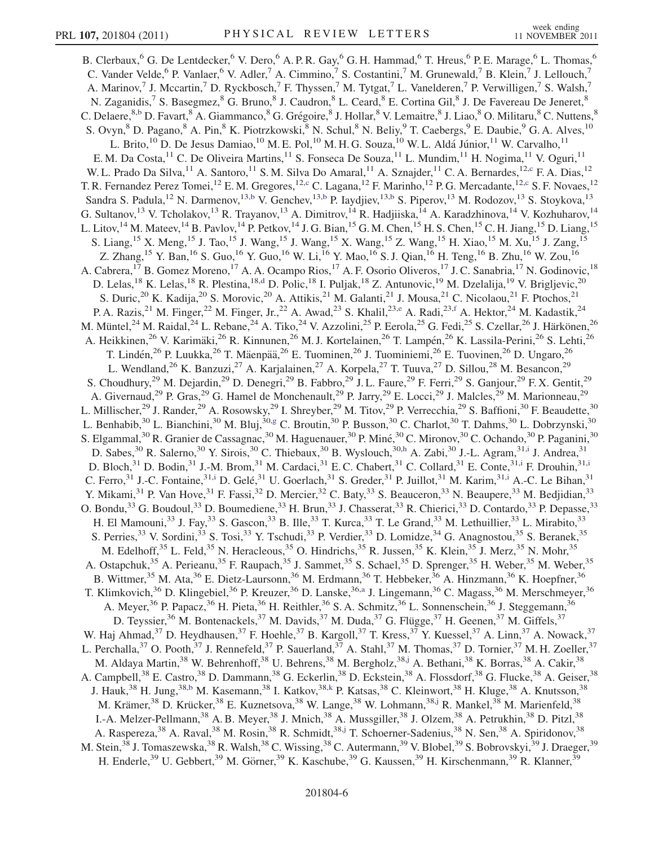B. Clerbaux,<sup>6</sup> G. De Lentdecker,<sup>6</sup> V. Dero,<sup>6</sup> A. P. R. Gay,<sup>6</sup> G. H. Hammad,<sup>6</sup> T. Hreus,<sup>6</sup> P. E. Marage,<sup>6</sup> L. Thomas,<sup>6</sup> C. Vander Velde,<sup>6</sup> P. Vanlaer,<sup>6</sup> V. Adler,<sup>7</sup> A. Cimmino,<sup>7</sup> S. Costantini,<sup>7</sup> M. Grunewald,<sup>7</sup> B. Klein,<sup>7</sup> J. Lellouch,<sup>7</sup> A. Marinov,<sup>7</sup> J. Mccartin,<sup>7</sup> D. Ryckbosch,<sup>7</sup> F. Thyssen,<sup>7</sup> M. Tytgat,<sup>7</sup> L. Vanelderen,<sup>7</sup> P. Verwilligen,<sup>7</sup> S. Walsh,<sup>7</sup> N. Zaganidis,<sup>7</sup> S. Basegmez, <sup>8</sup> G. Bruno, <sup>8</sup> J. Caudron, <sup>8</sup> L. Ceard, <sup>8</sup> E. Cortina Gil, <sup>8</sup> J. De Favereau De Jeneret, <sup>8</sup> C. Delaere,<sup>8,b</sup> D. Favart, <sup>8</sup> A. Giammanco, <sup>8</sup> G. Grégoire, <sup>8</sup> J. Hollar, <sup>8</sup> V. Lemaitre, <sup>8</sup> J. Liao, <sup>8</sup> O. Militaru, <sup>8</sup> C. Nuttens, <sup>8</sup> S. Ovyn, <sup>8</sup> D. Pagano, <sup>8</sup> A. Pin, <sup>8</sup> K. Piotrzkowski, <sup>8</sup> N. Schul, <sup>8</sup> N. Beliy, <sup>9</sup> T. Caebergs, <sup>9</sup> E. Daubie, <sup>9</sup> G. A. Alves, <sup>10</sup> L. Brito,<sup>10</sup> D. De Jesus Damiao,<sup>10</sup> M. E. Pol,<sup>10</sup> M. H. G. Souza,<sup>10</sup> W. L. Aldá Júnior,<sup>11</sup> W. Carvalho,<sup>11</sup> E. M. Da Costa,<sup>11</sup> C. De Oliveira Martins,<sup>11</sup> S. Fonseca De Souza,<sup>11</sup> L. Mundim,<sup>11</sup> H. Nogima,<sup>11</sup> V. Oguri,<sup>11</sup> W. L. Prado Da Silva,<sup>11</sup> A. Santoro,<sup>11</sup> S. M. Silva Do Amaral,<sup>11</sup> A. Sznajder,<sup>11</sup> C. A. Bernardes,<sup>12,c</sup> F. A. Dias,<sup>12</sup> T. R. Fernandez Perez Tomei,<sup>12</sup> E. M. Gregores,<sup>12,c</sup> C. Lagana,<sup>12</sup> F. Marinho,<sup>12</sup> P. G. Mercadante,<sup>12,c</sup> S. F. Novaes,<sup>12</sup> Sandra S. Padula,<sup>12</sup> N. Darmenov,<sup>13,b</sup> V. Genchev,<sup>13,b</sup> P. Iaydjiev,<sup>13,b</sup> S. Piperov,<sup>13</sup> M. Rodozov,<sup>13</sup> S. Stoykova,<sup>13</sup> G. Sultanov,<sup>13</sup> V. Tcholakov,<sup>13</sup> R. Trayanov,<sup>13</sup> A. Dimitrov,<sup>14</sup> R. Hadjiiska,<sup>14</sup> A. Karadzhinova,<sup>14</sup> V. Kozhuharov,<sup>14</sup> L. Litov,<sup>14</sup> M. Mateev,<sup>14</sup> B. Pavlov,<sup>14</sup> P. Petkov,<sup>14</sup> J. G. Bian,<sup>15</sup> G. M. Chen,<sup>15</sup> H. S. Chen,<sup>15</sup> C. H. Jiang,<sup>15</sup> D. Liang,<sup>15</sup> S. Liang, <sup>15</sup> X. Meng, <sup>15</sup> J. Tao, <sup>15</sup> J. Wang, <sup>15</sup> J. Wang, <sup>15</sup> X. Wang, <sup>15</sup> Z. Wang, <sup>15</sup> H. Xiao, <sup>15</sup> M. Xu, <sup>15</sup> J. Zang, <sup>15</sup> Z. Zhang, <sup>15</sup> Y. Ban, <sup>16</sup> S. Guo, <sup>16</sup> Y. Guo, <sup>16</sup> W. Li, <sup>16</sup> Y. Mao, <sup>16</sup> S. J. Qian, <sup>16</sup> H. Teng, <sup>16</sup> B. Zhu, <sup>16</sup> W. Zou, <sup>16</sup> A. Cabrera,<sup>17</sup> B. Gomez Moreno,<sup>17</sup> A. A. Ocampo Rios,<sup>17</sup> A. F. Osorio Oliveros,<sup>17</sup> J. C. Sanabria,<sup>17</sup> N. Godinovic,<sup>18</sup> D. Lelas,<sup>18</sup> K. Lelas,<sup>18</sup> R. Plestina,<sup>18,d</sup> D. Polic,<sup>18</sup> I. Puljak,<sup>18</sup> Z. Antunovic,<sup>19</sup> M. Dzelalija,<sup>19</sup> V. Brigljevic,<sup>20</sup> S. Duric,<sup>20</sup> K. Kadija,<sup>20</sup> S. Morovic,<sup>20</sup> A. Attikis,<sup>21</sup> M. Galanti,<sup>21</sup> J. Mousa,<sup>21</sup> C. Nicolaou,<sup>21</sup> F. Ptochos,<sup>21</sup> P. A. Razis,<sup>21</sup> M. Finger,<sup>22</sup> M. Finger, Jr.,<sup>22</sup> A. Awad,<sup>23</sup> S. Khalil,<sup>23,e</sup> A. Radi,<sup>23,f</sup> A. Hektor,<sup>24</sup> M. Kadastik,<sup>24</sup> M. Müntel,<sup>24</sup> M. Raidal,<sup>24</sup> L. Rebane,<sup>24</sup> A. Tiko,<sup>24</sup> V. Azzolini,<sup>25</sup> P. Eerola,<sup>25</sup> G. Fedi,<sup>25</sup> S. Czellar,<sup>26</sup> J. Härkönen,<sup>26</sup> A. Heikkinen,<sup>26</sup> V. Karimäki,<sup>26</sup> R. Kinnunen,<sup>26</sup> M. J. Kortelainen,<sup>26</sup> T. Lampén,<sup>26</sup> K. Lassila-Perini,<sup>26</sup> S. Lehti,<sup>26</sup> T. Lindén,<sup>26</sup> P. Luukka,<sup>26</sup> T. Mäenpää,<sup>26</sup> E. Tuominen,<sup>26</sup> J. Tuominiemi,<sup>26</sup> E. Tuovinen,<sup>26</sup> D. Ungaro,<sup>26</sup> L. Wendland,<sup>26</sup> K. Banzuzi,<sup>27</sup> A. Karjalainen,<sup>27</sup> A. Korpela,<sup>27</sup> T. Tuuva,<sup>27</sup> D. Sillou,<sup>28</sup> M. Besancon,<sup>29</sup> S. Choudhury,<sup>29</sup> M. Dejardin,<sup>29</sup> D. Denegri,<sup>29</sup> B. Fabbro,<sup>29</sup> J. L. Faure,<sup>29</sup> F. Ferri,<sup>29</sup> S. Ganjour,<sup>29</sup> F. X. Gentit,<sup>29</sup> A. Givernaud,<sup>29</sup> P. Gras,<sup>29</sup> G. Hamel de Monchenault,<sup>29</sup> P. Jarry,<sup>29</sup> E. Locci,<sup>29</sup> J. Malcles,<sup>29</sup> M. Marionneau,<sup>29</sup> L. Millischer,<sup>29</sup> J. Rander,<sup>29</sup> A. Rosowsky,<sup>29</sup> I. Shreyber,<sup>29</sup> M. Titov,<sup>29</sup> P. Verrecchia,<sup>29</sup> S. Baffioni,<sup>30</sup> F. Beaudette,<sup>30</sup> L. Benhabib,<sup>30</sup> L. Bianchini,<sup>30</sup> M. Bluj,<sup>30</sup>,g C. Broutin,<sup>30</sup> P. Busson,<sup>30</sup> C. Charlot,<sup>30</sup> T. Dahms,<sup>30</sup> L. Dobrzynski,<sup>30</sup> S. Elgammal,<sup>30</sup> R. Granier de Cassagnac,<sup>30</sup> M. Haguenauer,<sup>30</sup> P. Miné,<sup>30</sup> C. Mironov,<sup>30</sup> C. Ochando,<sup>30</sup> P. Paganini,<sup>30</sup> D. Sabes,<sup>30</sup> R. Salerno,<sup>30</sup> Y. Sirois,<sup>30</sup> C. Thiebaux,<sup>30</sup> B. Wyslouch,<sup>30,h</sup> A. Zabi,<sup>30</sup> J.-L. Agram,<sup>31,i</sup> J. Andrea,<sup>31</sup> D. Bloch,<sup>31</sup> D. Bodin,<sup>31</sup> J.-M. Brom,<sup>31</sup> M. Cardaci,<sup>31</sup> E.C. Chabert,<sup>31</sup> C. Collard,<sup>31</sup> E. Conte,<sup>31,i</sup> F. Drouhin,<sup>31,i</sup> C. Ferro,<sup>31</sup> J.-C. Fontaine,<sup>31,i</sup> D. Gelé,<sup>31</sup> U. Goerlach,<sup>31</sup> S. Greder,<sup>31</sup> P. Juillot,<sup>31</sup> M. Karim,<sup>31,i</sup> A.-C. Le Bihan,<sup>31</sup> Y. Mikami,<sup>31</sup> P. Van Hove,<sup>31</sup> F. Fassi,<sup>32</sup> D. Mercier,<sup>32</sup> C. Baty,<sup>33</sup> S. Beauceron,<sup>33</sup> N. Beaupere,<sup>33</sup> M. Bedjidian,<sup>33</sup> O. Bondu,<sup>33</sup> G. Boudoul,<sup>33</sup> D. Boumediene,<sup>33</sup> H. Brun,<sup>33</sup> J. Chasserat,<sup>33</sup> R. Chierici,<sup>33</sup> D. Contardo,<sup>33</sup> P. Depasse,<sup>33</sup> H. El Mamouni,<sup>33</sup> J. Fay,<sup>33</sup> S. Gascon,<sup>33</sup> B. Ille,<sup>33</sup> T. Kurca,<sup>33</sup> T. Le Grand,<sup>33</sup> M. Lethuillier,<sup>33</sup> L. Mirabito,<sup>33</sup> S. Perries,<sup>33</sup> V. Sordini,<sup>33</sup> S. Tosi,<sup>33</sup> Y. Tschudi,<sup>33</sup> P. Verdier,<sup>33</sup> D. Lomidze,<sup>34</sup> G. Anagnostou,<sup>35</sup> S. Beranek,<sup>35</sup> M. Edelhoff,<sup>35</sup> L. Feld,<sup>35</sup> N. Heracleous,<sup>35</sup> O. Hindrichs,<sup>35</sup> R. Jussen,<sup>35</sup> K. Klein,<sup>35</sup> J. Merz,<sup>35</sup> N. Mohr,<sup>35</sup> A. Ostapchuk,<sup>35</sup> A. Perieanu,<sup>35</sup> F. Raupach,<sup>35</sup> J. Sammet,<sup>35</sup> S. Schael,<sup>35</sup> D. Sprenger,<sup>35</sup> H. Weber,<sup>35</sup> M. Weber,<sup>35</sup> B. Wittmer,<sup>35</sup> M. Ata,<sup>36</sup> E. Dietz-Laursonn,<sup>36</sup> M. Erdmann,<sup>36</sup> T. Hebbeker,<sup>36</sup> A. Hinzmann,<sup>36</sup> K. Hoepfner,<sup>36</sup> T. Klimkovich,<sup>36</sup> D. Klingebiel,<sup>36</sup> P. Kreuzer,<sup>36</sup> D. Lanske,<sup>36,a</sup> J. Lingemann,<sup>36</sup> C. Magass,<sup>36</sup> M. Merschmeyer,<sup>36</sup> A. Meyer,<sup>36</sup> P. Papacz,<sup>36</sup> H. Pieta,<sup>36</sup> H. Reithler,<sup>36</sup> S. A. Schmitz,<sup>36</sup> L. Sonnenschein,<sup>36</sup> J. Steggemann,<sup>36</sup> D. Teyssier,<sup>36</sup> M. Bontenackels,<sup>37</sup> M. Davids,<sup>37</sup> M. Duda,<sup>37</sup> G. Flügge,<sup>37</sup> H. Geenen,<sup>37</sup> M. Giffels,<sup>37</sup> W. Haj Ahmad,<sup>37</sup> D. Heydhausen,<sup>37</sup> F. Hoehle,<sup>37</sup> B. Kargoll,<sup>37</sup> T. Kress,<sup>37</sup> Y. Kuessel,<sup>37</sup> A. Linn,<sup>37</sup> A. Nowack,<sup>37</sup> L. Perchalla,<sup>37</sup> O. Pooth,<sup>37</sup> J. Rennefeld,<sup>37</sup> P. Sauerland,<sup>37</sup> A. Stahl,<sup>37</sup> M. Thomas,<sup>37</sup> D. Tornier,<sup>37</sup> M. H. Zoeller,<sup>37</sup> M. Aldaya Martin,<sup>38</sup> W. Behrenhoff,<sup>38</sup> U. Behrens,<sup>38</sup> M. Bergholz,<sup>38,j</sup> A. Bethani,<sup>38</sup> K. Borras,<sup>38</sup> A. Cakir,<sup>38</sup> A. Campbell,<sup>38</sup> E. Castro,<sup>38</sup> D. Dammann,<sup>38</sup> G. Eckerlin,<sup>38</sup> D. Eckstein,<sup>38</sup> A. Flossdorf,<sup>38</sup> G. Flucke,<sup>38</sup> A. Geiser,<sup>38</sup> J. Hauk,<sup>38</sup> H. Jung,<sup>38,b</sup> M. Kasemann,<sup>38</sup> I. Katkov,<sup>38,k</sup> P. Katsas,<sup>38</sup> C. Kleinwort,<sup>38</sup> H. Kluge,<sup>38</sup> A. Knutsson,<sup>38</sup> M. Krämer,<sup>38</sup> D. Krücker,<sup>38</sup> E. Kuznetsova,<sup>38</sup> W. Lange,<sup>38</sup> W. Lohmann,<sup>38,j</sup> R. Mankel,<sup>38</sup> M. Marienfeld,<sup>38</sup> I.-A. Melzer-Pellmann,<sup>38</sup> A. B. Meyer,<sup>38</sup> J. Mnich,<sup>38</sup> A. Mussgiller,<sup>38</sup> J. Olzem,<sup>38</sup> A. Petrukhin,<sup>38</sup> D. Pitzl,<sup>38</sup> A. Raspereza,<sup>38</sup> A. Raval,<sup>38</sup> M. Rosin,<sup>38</sup> R. Schmidt,<sup>38,j</sup> T. Schoerner-Sadenius,<sup>38</sup> N. Sen,<sup>38</sup> A. Spiridonov,<sup>38</sup> M. Stein,<sup>38</sup> J. Tomaszewska,<sup>38</sup> R. Walsh,<sup>38</sup> C. Wissing,<sup>38</sup> C. Autermann,<sup>39</sup> V. Blobel,<sup>39</sup> S. Bobrovskyi,<sup>39</sup> J. Draeger,<sup>39</sup> H. Enderle,<sup>39</sup> U. Gebbert,<sup>39</sup> M. Görner,<sup>39</sup> K. Kaschube,<sup>39</sup> G. Kaussen,<sup>39</sup> H. Kirschenmann,<sup>39</sup> R. Klanner,<sup>39</sup>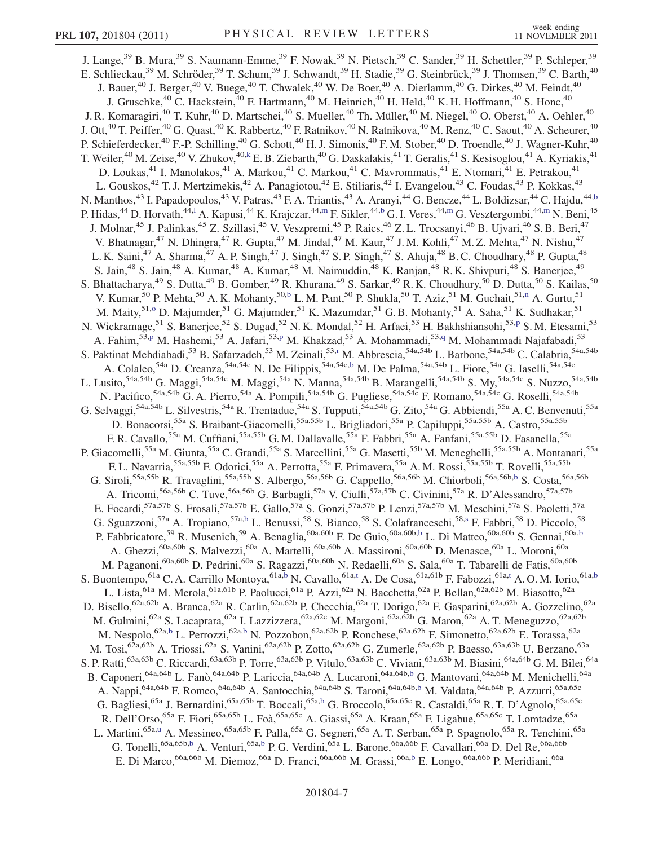J. Lange,<sup>39</sup> B. Mura,<sup>39</sup> S. Naumann-Emme,<sup>39</sup> F. Nowak,<sup>39</sup> N. Pietsch,<sup>39</sup> C. Sander,<sup>39</sup> H. Schettler,<sup>39</sup> P. Schleper,<sup>39</sup> E. Schlieckau,<sup>39</sup> M. Schröder,<sup>39</sup> T. Schum,<sup>39</sup> J. Schwandt,<sup>39</sup> H. Stadie,<sup>39</sup> G. Steinbrück,<sup>39</sup> J. Thomsen,<sup>39</sup> C. Barth,<sup>40</sup> J. Bauer,<sup>40</sup> J. Berger,<sup>40</sup> V. Buege,<sup>40</sup> T. Chwalek,<sup>40</sup> W. De Boer,<sup>40</sup> A. Dierlamm,<sup>40</sup> G. Dirkes,<sup>40</sup> M. Feindt,<sup>40</sup> J. Gruschke,<sup>40</sup> C. Hackstein,<sup>40</sup> F. Hartmann,<sup>40</sup> M. Heinrich,<sup>40</sup> H. Held,<sup>40</sup> K. H. Hoffmann,<sup>40</sup> S. Honc,<sup>40</sup> J. R. Komaragiri,<sup>40</sup> T. Kuhr,<sup>40</sup> D. Martschei,<sup>40</sup> S. Mueller,<sup>40</sup> Th. Müller,<sup>40</sup> M. Niegel,<sup>40</sup> O. Oberst,<sup>40</sup> A. Oehler,<sup>40</sup> J. Ott,<sup>40</sup> T. Peiffer,<sup>40</sup> G. Quast,<sup>40</sup> K. Rabbertz,<sup>40</sup> F. Ratnikov,<sup>40</sup> N. Ratnikova,<sup>40</sup> M. Renz,<sup>40</sup> C. Saout,<sup>40</sup> A. Scheurer,<sup>40</sup> P. Schieferdecker,<sup>40</sup> F.-P. Schilling,<sup>40</sup> G. Schott,<sup>40</sup> H. J. Simonis,<sup>40</sup> F. M. Stober,<sup>40</sup> D. Troendle,<sup>40</sup> J. Wagner-Kuhr,<sup>40</sup> T. Weiler,<sup>40</sup> M. Zeise,<sup>40</sup> V. Zhukov,<sup>40,k</sup> E. B. Ziebarth,<sup>40</sup> G. Daskalakis,<sup>41</sup> T. Geralis,<sup>41</sup> S. Kesisoglou,<sup>41</sup> A. Kyriakis,<sup>41</sup> D. Loukas,<sup>41</sup> I. Manolakos,<sup>41</sup> A. Markou,<sup>41</sup> C. Markou,<sup>41</sup> C. Mavrommatis,<sup>41</sup> E. Ntomari,<sup>41</sup> E. Petrakou,<sup>41</sup> L. Gouskos,<sup>42</sup> T. J. Mertzimekis,<sup>42</sup> A. Panagiotou,<sup>42</sup> E. Stiliaris,<sup>42</sup> I. Evangelou,<sup>43</sup> C. Foudas,<sup>43</sup> P. Kokkas,<sup>43</sup> N. Manthos,<sup>43</sup> I. Papadopoulos,<sup>43</sup> V. Patras,<sup>43</sup> F. A. Triantis,<sup>43</sup> A. Aranyi,<sup>44</sup> G. Bencze,<sup>44</sup> L. Boldizsar,<sup>44</sup> C. Hajdu,<sup>44,b</sup> P. Hidas,<sup>44</sup> D. Horvath,<sup>44,l</sup> A. Kapusi,<sup>44</sup> K. Krajczar,<sup>44,m</sup> F. Sikler,<sup>44,b</sup> G. I. Veres,<sup>44,m</sup> G. Vesztergombi,<sup>44,m</sup> N. Beni,<sup>45</sup> J. Molnar,<sup>45</sup> J. Palinkas,<sup>45</sup> Z. Szillasi,<sup>45</sup> V. Veszpremi,<sup>45</sup> P. Raics,<sup>46</sup> Z. L. Trocsanyi,<sup>46</sup> B. Ujvari,<sup>46</sup> S. B. Beri,<sup>47</sup> V. Bhatnagar,<sup>47</sup> N. Dhingra,<sup>47</sup> R. Gupta,<sup>47</sup> M. Jindal,<sup>47</sup> M. Kaur,<sup>47</sup> J. M. Kohli,<sup>47</sup> M. Z. Mehta,<sup>47</sup> N. Nishu,<sup>47</sup> L. K. Saini,<sup>47</sup> A. Sharma,<sup>47</sup> A. P. Singh,<sup>47</sup> J. Singh,<sup>47</sup> S. P. Singh,<sup>47</sup> S. Ahuja,<sup>48</sup> B. C. Choudhary,<sup>48</sup> P. Gupta,<sup>48</sup> S. Jain,<sup>48</sup> S. Jain,<sup>48</sup> A. Kumar,<sup>48</sup> A. Kumar,<sup>48</sup> M. Naimuddin,<sup>48</sup> K. Ranjan,<sup>48</sup> R. K. Shivpuri,<sup>48</sup> S. Banerjee,<sup>49</sup> S. Bhattacharya,<sup>49</sup> S. Dutta,<sup>49</sup> B. Gomber,<sup>49</sup> R. Khurana,<sup>49</sup> S. Sarkar,<sup>49</sup> R. K. Choudhury,<sup>50</sup> D. Dutta,<sup>50</sup> S. Kailas,<sup>50</sup> V. Kumar,<sup>50</sup> P. Mehta,<sup>50</sup> A. K. Mohanty,<sup>50,b</sup> L. M. Pant,<sup>50</sup> P. Shukla,<sup>50</sup> T. Aziz,<sup>51</sup> M. Guchait,<sup>51,n</sup> A. Gurtu,<sup>51</sup> M. Maity,<sup>51,o</sup> D. Majumder,<sup>51</sup> G. Majumder,<sup>51</sup> K. Mazumdar,<sup>51</sup> G. B. Mohanty,<sup>51</sup> A. Saha,<sup>51</sup> K. Sudhakar,<sup>51</sup> N. Wickramage,<sup>51</sup> S. Banerjee,<sup>52</sup> S. Dugad,<sup>52</sup> N. K. Mondal,<sup>52</sup> H. Arfaei,<sup>53</sup> H. Bakhshiansohi,<sup>53,p</sup> S. M. Etesami,<sup>53</sup> A. Fahim,<sup>53,p</sup> M. Hashemi,<sup>53</sup> A. Jafari,<sup>53,p</sup> M. Khakzad,<sup>53</sup> A. Mohammadi,<sup>53,q</sup> M. Mohammadi Najafabadi,<sup>53</sup> S. Paktinat Mehdiabadi, <sup>53</sup> B. Safarzadeh, <sup>53</sup> M. Zeinali, <sup>53,r</sup> M. Abbrescia, <sup>54</sup>a,54b L. Barbone, <sup>54a,54b</sup> C. Calabria, <sup>54a,54b</sup> A. Colaleo,<sup>54a</sup> D. Creanza,<sup>54a,54c</sup> N. De Filippis,<sup>54a,54c,b</sup> M. De Palma,<sup>54a,54b</sup> L. Fiore,<sup>54a</sup> G. Iaselli,<sup>54a,54c</sup> L. Lusito,<sup>54a,54b</sup> G. Maggi,<sup>54a,54c</sup> M. Maggi,<sup>54a</sup> N. Manna,<sup>54a,54b</sup> B. Marangelli,<sup>54a,54b</sup> S. My,<sup>54a,54c</sup> S. Nuzzo,<sup>54a,54b</sup> N. Pacifico,<sup>54a,54b</sup> G. A. Pierro,<sup>54a</sup> A. Pompili,<sup>54a,54b</sup> G. Pugliese,<sup>54a,54c</sup> F. Romano,<sup>54a,54c</sup> G. Roselli,<sup>54a,54b</sup> G. Selvaggi,<sup>54a,54b</sup> L. Silvestris,<sup>54a</sup> R. Trentadue,<sup>54a</sup> S. Tupputi,<sup>54a,54b</sup> G. Zito,<sup>54a</sup> G. Abbiendi,<sup>55a</sup> A. C. Benvenuti,<sup>55a</sup> vaggi, E. Birvestiis, I. Heinatac, B. Lappan, E. Zive, B. Capiluppi,<sup>55a,55b</sup> A. Castro,<sup>55a,55b</sup> A. Castro,<sup>55a,55b</sup> A. Castro,<sup>55a,55b</sup> A. Castro,<sup>55a,55b</sup> A. Castro,<sup>55a,55b</sup> A. Castro,<sup>55a,55b</sup> F. R. Cavallo,<sup>55a</sup> M. Cuffiani,<sup>55a,55b</sup> G. M. Dallavalle,<sup>55a</sup> F. Fabbri,<sup>55a</sup> A. Fanfani,<sup>55a,55b</sup> D. Fasanella,<sup>55a</sup> P. Giacomelli,<sup>55a</sup> M. Giunta,<sup>55a</sup> C. Grandi,<sup>55a</sup> S. Marcellini,<sup>55a</sup> G. Masetti,<sup>55b</sup> M. Meneghelli,<sup>55a,55b</sup> A. Montanari,<sup>55a</sup> F. L. Navarria,<sup>55a,55b</sup> F. Odorici,<sup>55a</sup> A. Perrotta,<sup>55a</sup> F. Primavera,<sup>55a</sup> A. M. Rossi,<sup>55a,55b</sup> T. Rovelli,<sup>55a,55b</sup> G. Siroli,<sup>55a,55b</sup> R. Travaglini,<sup>55a,55b</sup> S. Albergo,<sup>56a,56b</sup> G. Cappello,<sup>56a,56b</sup> M. Chiorboli,<sup>56a,56b,b</sup> S. Costa,<sup>56a,56b</sup> A. Tricomi,<sup>56a,56b</sup> C. Tuve,<sup>56a,56b</sup> G. Barbagli,<sup>57a</sup> V. Ciulli,<sup>57a,57b</sup> C. Civinini,<sup>57a</sup> R. D'Alessandro,<sup>57a,57b</sup> E. Focardi,<sup>57a,57b</sup> S. Frosali,<sup>57a,57b</sup> E. Gallo,<sup>57a</sup> S. Gonzi,<sup>57a,57b</sup> P. Lenzi,<sup>57a,57b</sup> M. Meschini,<sup>57a</sup> S. Paoletti,<sup>57a</sup> G. Sguazzoni,<sup>57a</sup> A. Tropiano,<sup>57a,b</sup> L. Benussi,<sup>58</sup> S. Bianco,<sup>58</sup> S. Colafranceschi,<sup>58,s</sup> F. Fabbri,<sup>58</sup> D. Piccolo,<sup>58</sup> P. Fabbricatore,<sup>59</sup> R. Musenich,<sup>59</sup> A. Benaglia,<sup>60a,60b</sup> F. De Guio,<sup>60a,60b,b</sup> L. Di Matteo,<sup>60a,60b</sup> S. Gennai,<sup>60a,b</sup> A. Ghezzi,<sup>60a,60b</sup> S. Malvezzi,<sup>60a</sup> A. Martelli,<sup>60a,60b</sup> A. Massironi,<sup>60a,60b</sup> D. Menasce,<sup>60a</sup> L. Moroni,<sup>60a</sup> M. Paganoni,<sup>60a,60b</sup> D. Pedrini,<sup>60a</sup> S. Ragazzi,<sup>60a,60b</sup> N. Redaelli,<sup>60a</sup> S. Sala,<sup>60a</sup> T. Tabarelli de Fatis,<sup>60a,60b</sup> S. Buontempo, <sup>61a</sup> C. A. Carrillo Montoya, <sup>61a,b</sup> N. Cavallo, <sup>61a,t</sup> A. De Cosa, <sup>61a,61b</sup> F. Fabozzi, <sup>61a,t</sup> A. O. M. Iorio, <sup>61a,b</sup> L. Lista,<sup>61a</sup> M. Merola,<sup>61a,61b</sup> P. Paolucci,<sup>61a</sup> P. Azzi,<sup>62a</sup> N. Bacchetta,<sup>62a</sup> P. Bellan,<sup>62a,62b</sup> M. Biasotto,<sup>62a</sup> D. Bisello,<sup>62a,62b</sup> A. Branca,<sup>62a</sup> R. Carlin,<sup>62a,62b</sup> P. Checchia,<sup>62a</sup> T. Dorigo,<sup>62a</sup> F. Gasparini,<sup>62a,62b</sup> A. Gozzelino,<sup>62a</sup> M. Gulmini,<sup>62a</sup> S. Lacaprara,<sup>62a</sup> I. Lazzizzera,<sup>62a,62c</sup> M. Margoni,<sup>62a,62b</sup> G. Maron,<sup>62a</sup> A. T. Meneguzzo,<sup>62a,62b</sup> M. Nespolo,<sup>62a,b</sup> L. Perrozzi,<sup>62a,b</sup> N. Pozzobon,<sup>62a,62b</sup> P. Ronchese,<sup>62a,62b</sup> F. Simonetto,<sup>62a,62b</sup> E. Torassa,<sup>62a</sup> M. Tosi,<sup>62a,62b</sup> A. Triossi,<sup>62a</sup> S. Vanini,<sup>62a,62b</sup> P. Zotto,<sup>62a,62b</sup> G. Zumerle,<sup>62a,62b</sup> P. Baesso,<sup>63a,63b</sup> U. Berzano,<sup>63a</sup> S. P. Ratti,<sup>63a,63b</sup> C. Riccardi,<sup>63a,63b</sup> P. Torre,<sup>63a,63b</sup> P. Vitulo,<sup>63a,63b</sup> C. Viviani,<sup>63a,63b</sup> M. Biasini,<sup>64a,64b</sup> G. M. Bilei,<sup>64a</sup> B. Caponeri, <sup>64a, 64b</sup> L. Fanò, <sup>64a, 64b</sup> P. Lariccia, <sup>64a, 64b</sup> A. Lucaroni, <sup>64a, 64b, b</sup> G. Mantovani, <sup>64a, 64b</sup> M. Menichelli, <sup>64a</sup> A. Nappi,<sup>64a,64b</sup> F. Romeo,<sup>64a,64b</sup> A. Santocchia,<sup>64a,64b</sup> S. Taroni,<sup>64a,64b,b</sup> M. Valdata,<sup>64a,64b</sup> P. Azzurri,<sup>65a,65c</sup> G. Bagliesi,<sup>65a</sup> J. Bernardini,<sup>65a,65b</sup> T. Boccali,<sup>65a,b</sup> G. Broccolo,<sup>65a,65c</sup> R. Castaldi,<sup>65a</sup> R. T. D'Agnolo,<sup>65a,65c</sup> R. Dell'Orso,<sup>65a</sup> F. Fiori,<sup>65a,65b</sup> L. Foà,<sup>65a,65c</sup> A. Giassi,<sup>65a</sup> A. Kraan,<sup>65a</sup> F. Ligabue,<sup>65a,65c</sup> T. Lomtadze,<sup>65a</sup> L. Martini,<sup>65a,u</sup> A. Messineo,<sup>65a,65b</sup> F. Palla,<sup>65a</sup> G. Segneri,<sup>65a</sup> A. T. Serban,<sup>65a</sup> P. Spagnolo,<sup>65a</sup> R. Tenchini,<sup>65a</sup> G. Tonelli,<sup>65a,65b,b</sup> A. Venturi,<sup>65a,b</sup> P. G. Verdini,<sup>65a</sup> L. Barone,<sup>66a,66b</sup> F. Cavallari,<sup>66a</sup> D. Del Re,<sup>66a,66b</sup> E. Di Marco,<sup>66a,66b</sup> M. Diemoz,<sup>66a</sup> D. Franci,<sup>66a,66b</sup> M. Grassi,<sup>66a,b</sup> E. Longo,<sup>66a,66b</sup> P. Meridiani,<sup>66a</sup>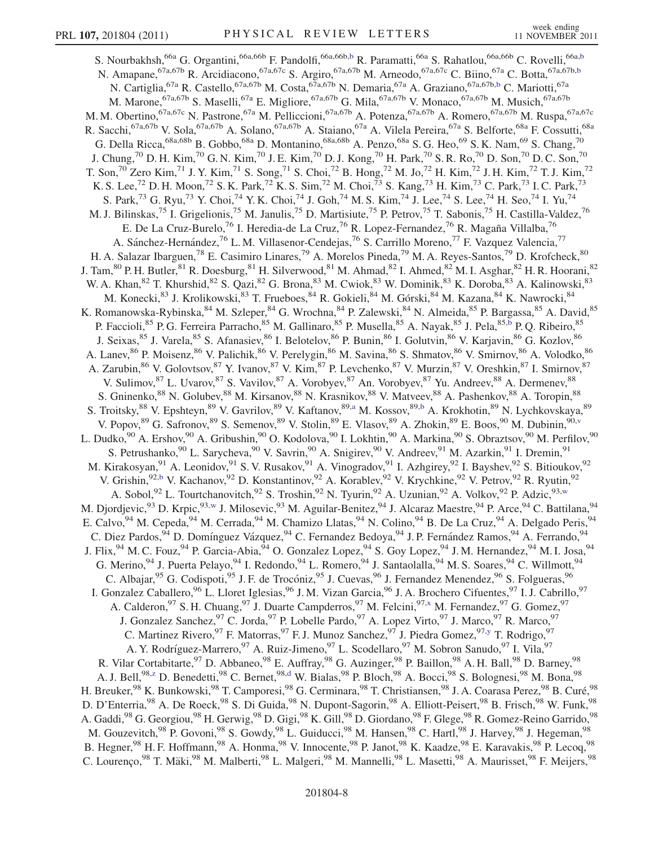S. Nourbakhsh,<sup>66a</sup> G. Organtini,<sup>66a,66b</sup> F. Pandolfi,<sup>66a,66b,b</sup> R. Paramatti,<sup>66a</sup> S. Rahatlou,<sup>66a,66b</sup> C. Rovelli,<sup>66a,b</sup> N. Amapane,<sup>67a,67b</sup> R. Arcidiacono,<sup>67a,67c</sup> S. Argiro,<sup>67a,67b</sup> M. Arneodo,<sup>67a,67c</sup> C. Biino,<sup>67a</sup> C. Botta,<sup>67a,67b,b</sup> N. Cartiglia, <sup>67a</sup> R. Castello, <sup>67a, 67b</sup> M. Costa, <sup>67a, 67b</sup> N. Demaria, <sup>67a</sup> A. Graziano, <sup>67a, 67b, b</sup> C. Mariotti, <sup>67a</sup> M. Marone, <sup>67a,67b</sup> S. Maselli, <sup>67a</sup> E. Migliore, <sup>67a,67b</sup> G. Mila, <sup>67a,67b</sup> V. Monaco, <sup>67a,67b</sup> M. Musich, <sup>67a,67b</sup> M. M. Obertino, <sup>67a, 67c</sup> N. Pastrone, <sup>67a</sup> M. Pelliccioni, <sup>67a, 67b</sup> A. Potenza, <sup>67a, 67b</sup> A. Romero, <sup>67a, 67b</sup> M. Ruspa, <sup>67a, 67c</sup> R. Sacchi,<sup>67a,67b</sup> V. Sola,<sup>67a,67b</sup> A. Solano,<sup>67a,67b</sup> A. Staiano,<sup>67a</sup> A. Vilela Pereira,<sup>67a</sup> S. Belforte,<sup>68a</sup> F. Cossutti,<sup>68a</sup> G. Della Ricca,<sup>68a,68b</sup> B. Gobbo,<sup>68a</sup> D. Montanino,<sup>68a,68b</sup> A. Penzo,<sup>68a</sup> S. G. Heo,<sup>69</sup> S. K. Nam,<sup>69</sup> S. Chang,<sup>70</sup> J. Chung,<sup>70</sup> D. H. Kim,<sup>70</sup> G. N. Kim,<sup>70</sup> J. E. Kim,<sup>70</sup> D. J. Kong,<sup>70</sup> H. Park,<sup>70</sup> S. R. Ro,<sup>70</sup> D. Son,<sup>70</sup> D. C. Son,<sup>70</sup> T. Son,<sup>70</sup> Zero Kim,<sup>71</sup> J. Y. Kim,<sup>71</sup> S. Song,<sup>71</sup> S. Choi,<sup>72</sup> B. Hong,<sup>72</sup> M. Jo,<sup>72</sup> H. Kim,<sup>72</sup> J. H. Kim,<sup>72</sup> T. J. Kim,<sup>72</sup> K. S. Lee,<sup>72</sup> D. H. Moon,<sup>72</sup> S. K. Park,<sup>72</sup> K. S. Sim,<sup>72</sup> M. Choi,<sup>73</sup> S. Kang,<sup>73</sup> H. Kim,<sup>73</sup> C. Park,<sup>73</sup> I. C. Park,<sup>73</sup> S. Park,<sup>73</sup> G. Ryu,<sup>73</sup> Y. Choi,<sup>74</sup> Y. K. Choi,<sup>74</sup> J. Goh,<sup>74</sup> M. S. Kim,<sup>74</sup> J. Lee,<sup>74</sup> S. Lee,<sup>74</sup> H. Seo,<sup>74</sup> I. Yu,<sup>74</sup> M. J. Bilinskas,<sup>75</sup> I. Grigelionis,<sup>75</sup> M. Janulis,<sup>75</sup> D. Martisiute,<sup>75</sup> P. Petrov,<sup>75</sup> T. Sabonis,<sup>75</sup> H. Castilla-Valdez,<sup>76</sup> E. De La Cruz-Burelo,<sup>76</sup> I. Heredia-de La Cruz,<sup>76</sup> R. Lopez-Fernandez,<sup>76</sup> R. Magaña Villalba,<sup>76</sup> A. Sánchez-Hernández,<sup>76</sup> L. M. Villasenor-Cendejas,<sup>76</sup> S. Carrillo Moreno,<sup>77</sup> F. Vazquez Valencia,<sup>77</sup> H. A. Salazar Ibarguen,<sup>78</sup> E. Casimiro Linares,<sup>79</sup> A. Morelos Pineda,<sup>79</sup> M. A. Reyes-Santos,<sup>79</sup> D. Krofcheck,<sup>80</sup> J. Tam, <sup>80</sup> P. H. Butler, <sup>81</sup> R. Doesburg, <sup>81</sup> H. Silverwood, <sup>81</sup> M. Ahmad, <sup>82</sup> I. Ahmed, <sup>82</sup> M. I. Asghar, <sup>82</sup> H. R. Hoorani, <sup>82</sup> W. A. Khan, <sup>82</sup> T. Khurshid, <sup>82</sup> S. Qazi, <sup>82</sup> G. Brona, <sup>83</sup> M. Cwiok, <sup>83</sup> W. Dominik, <sup>83</sup> K. Doroba, <sup>83</sup> A. Kalinowski, <sup>83</sup> M. Konecki,<sup>83</sup> J. Krolikowski,<sup>83</sup> T. Frueboes,<sup>84</sup> R. Gokieli,<sup>84</sup> M. Górski,<sup>84</sup> M. Kazana,<sup>84</sup> K. Nawrocki,<sup>84</sup> M. K. Romanowska-Rybinska, <sup>84</sup> M. Szleper, <sup>84</sup> G. Wrochna, <sup>84</sup> P. Zalewski, <sup>84</sup> N. Almeida, <sup>85</sup> P. Bargassa, <sup>85</sup> A. David, <sup>85</sup> P. Faccioli,<sup>85</sup> P. G. Ferreira Parracho,<sup>85</sup> M. Gallinaro,<sup>85</sup> P. Musella,<sup>85</sup> A. Nayak,<sup>85</sup> J. Pela,<sup>85,b</sup> P. Q. Ribeiro,<sup>85</sup> J. Seixas, <sup>85</sup> J. Varela, <sup>85</sup> S. Afanasiev, <sup>86</sup> I. Belotelov, <sup>86</sup> P. Bunin, <sup>86</sup> I. Golutvin, <sup>86</sup> V. Karjavin, <sup>86</sup> G. Kozlov, <sup>86</sup> A. Lanev, <sup>86</sup> P. Moisenz, <sup>86</sup> V. Palichik, <sup>86</sup> V. Perelygin, <sup>86</sup> M. Savina, <sup>86</sup> S. Shmatov, <sup>86</sup> V. Smirnov, <sup>86</sup> A. Volodko, <sup>86</sup> A. Zarubin,<sup>86</sup> V. Golovtsov,<sup>87</sup> Y. Ivanov,<sup>87</sup> V. Kim,<sup>87</sup> P. Levchenko,<sup>87</sup> V. Murzin,<sup>87</sup> V. Oreshkin,<sup>87</sup> I. Smirnov,<sup>87</sup> V. Sulimov, <sup>87</sup> L. Uvarov, <sup>87</sup> S. Vavilov, <sup>87</sup> A. Vorobyev, <sup>87</sup> An. Vorobyev, <sup>87</sup> Yu. Andreev, <sup>88</sup> A. Dermenev, <sup>88</sup> S. Gninenko, <sup>88</sup> N. Golubev, <sup>88</sup> M. Kirsanov, <sup>88</sup> N. Krasnikov, <sup>88</sup> V. Matveev, <sup>88</sup> A. Pashenkov, <sup>88</sup> A. Toropin, <sup>88</sup> S. Troitsky,<sup>88</sup> V. Epshteyn,<sup>89</sup> V. Gavrilov,<sup>89</sup> V. Kaftanov,<sup>89,a</sup> M. Kossov,<sup>89,b</sup> A. Krokhotin,<sup>89</sup> N. Lychkovskaya,<sup>89</sup> V. Popov, <sup>89</sup> G. Safronov, <sup>89</sup> S. Semenov, <sup>89</sup> V. Stolin, <sup>89</sup> E. Vlasov, <sup>89</sup> A. Zhokin, <sup>89</sup> E. Boos, <sup>90</sup> M. Dubinin, <sup>90, v</sup> L. Dudko,<sup>90</sup> A. Ershov,<sup>90</sup> A. Gribushin,<sup>90</sup> O. Kodolova,<sup>90</sup> I. Lokhtin,<sup>90</sup> A. Markina,<sup>90</sup> S. Obraztsov,<sup>90</sup> M. Perfilov,<sup>90</sup> S. Petrushanko, <sup>90</sup> L. Sarycheva, <sup>90</sup> V. Savrin, <sup>90</sup> A. Snigirev, <sup>90</sup> V. Andreev, <sup>91</sup> M. Azarkin, <sup>91</sup> I. Dremin, <sup>91</sup> M. Kirakosyan, <sup>91</sup> A. Leonidov, <sup>91</sup> S. V. Rusakov, <sup>91</sup> A. Vinogradov, <sup>91</sup> I. Azhgirey, <sup>92</sup> I. Bayshev, <sup>92</sup> S. Bitioukov, <sup>92</sup> V. Grishin, <sup>92,b</sup> V. Kachanov, <sup>92</sup> D. Konstantinov, <sup>92</sup> A. Korablev, <sup>92</sup> V. Krychkine, <sup>92</sup> V. Petrov, <sup>92</sup> R. Ryutin, <sup>92</sup> A. Sobol, <sup>92</sup> L. Tourtchanovitch, <sup>92</sup> S. Troshin, <sup>92</sup> N. Tyurin, <sup>92</sup> A. Uzunian, <sup>92</sup> A. Volkov, <sup>92</sup> P. Adzic, <sup>93,w</sup> M. Djordjevic,<sup>93</sup> D. Krpic,<sup>93,w</sup> J. Milosevic,<sup>93</sup> M. Aguilar-Benitez,<sup>94</sup> J. Alcaraz Maestre,<sup>94</sup> P. Arce,<sup>94</sup> C. Battilana,<sup>94</sup> E. Calvo,  $94$  M. Cepeda,  $94$  M. Cerrada,  $94$  M. Chamizo Llatas,  $94$  N. Colino,  $94$  B. De La Cruz,  $94$  A. Delgado Peris,  $94$ C. Diez Pardos, <sup>94</sup> D. Domínguez Vázquez, <sup>94</sup> C. Fernandez Bedoya, <sup>94</sup> J. P. Fernández Ramos, <sup>94</sup> A. Ferrando, <sup>94</sup> J. Flix, <sup>94</sup> M. C. Fouz, <sup>94</sup> P. Garcia-Abia, <sup>94</sup> O. Gonzalez Lopez, <sup>94</sup> S. Goy Lopez, <sup>94</sup> J. M. Hernandez, <sup>94</sup> M. I. Josa, <sup>94</sup> G. Merino, <sup>94</sup> J. Puerta Pelayo, <sup>94</sup> I. Redondo, <sup>94</sup> L. Romero, <sup>94</sup> J. Santaolalla, <sup>94</sup> M. S. Soares, <sup>94</sup> C. Willmott, <sup>94</sup> C. Albajar, <sup>95</sup> G. Codispoti, <sup>95</sup> J. F. de Trocóniz, <sup>95</sup> J. Cuevas, <sup>96</sup> J. Fernandez Menendez, <sup>96</sup> S. Folgueras, <sup>96</sup> I. Gonzalez Caballero,<sup>96</sup> L. Lloret Iglesias,<sup>96</sup> J.M. Vizan Garcia,<sup>96</sup> J.A. Brochero Cifuentes,<sup>97</sup> I.J. Cabrillo,<sup>97</sup> A. Calderon, <sup>97</sup> S. H. Chuang, <sup>97</sup> J. Duarte Campderros, <sup>97</sup> M. Felcini, <sup>97,x</sup> M. Fernandez, <sup>97</sup> G. Gomez, <sup>97</sup> J. Gonzalez Sanchez, <sup>97</sup> C. Jorda, <sup>97</sup> P. Lobelle Pardo, <sup>97</sup> A. Lopez Virto, <sup>97</sup> J. Marco, <sup>97</sup> R. Marco, <sup>97</sup> C. Martinez Rivero, <sup>97</sup> F. Matorras, <sup>97</sup> F. J. Munoz Sanchez, <sup>97</sup> J. Piedra Gomez, <sup>97, y</sup> T. Rodrigo, <sup>97</sup> A. Y. Rodríguez-Marrero,<sup>97</sup> A. Ruiz-Jimeno,<sup>97</sup> L. Scodellaro,<sup>97</sup> M. Sobron Sanudo,<sup>97</sup> I. Vila,<sup>97</sup> R. Vilar Cortabitarte, <sup>97</sup> D. Abbaneo, <sup>98</sup> E. Auffray, <sup>98</sup> G. Auzinger, <sup>98</sup> P. Baillon, <sup>98</sup> A. H. Ball, <sup>98</sup> D. Barney, <sup>98</sup> A. J. Bell,<sup>98,z</sup> D. Benedetti,<sup>98</sup> C. Bernet,<sup>98,d</sup> W. Bialas,<sup>98</sup> P. Bloch,<sup>98</sup> A. Bocci,<sup>98</sup> S. Bolognesi,<sup>98</sup> M. Bona,<sup>98</sup> H. Breuker,  $^{98}$  K. Bunkowski,  $^{98}$  T. Camporesi,  $^{98}$  G. Cerminara,  $^{98}$  T. Christiansen,  $^{98}$  J. A. Coarasa Perez,  $^{98}$  B. Curé,  $^{98}$ D. D'Enterria,<sup>98</sup> A. De Roeck,<sup>98</sup> S. Di Guida,<sup>98</sup> N. Dupont-Sagorin,<sup>98</sup> A. Elliott-Peisert,<sup>98</sup> B. Frisch,<sup>98</sup> W. Funk,<sup>98</sup> A. Gaddi,  $^{98}$  G. Georgiou,  $^{98}$  H. Gerwig,  $^{98}$  D. Gigi,  $^{98}$  K. Gill,  $^{98}$  D. Giordano,  $^{98}$  F. Glege,  $^{98}$  R. Gomez-Reino Garrido,  $^{98}$ M. Gouzevitch,<sup>98</sup> P. Govoni,<sup>98</sup> S. Gowdy,<sup>98</sup> L. Guiducci,<sup>98</sup> M. Hansen,<sup>98</sup> C. Hartl,<sup>98</sup> J. Harvey,<sup>98</sup> J. Hegeman,<sup>98</sup> B. Hegner,<sup>98</sup> H. F. Hoffmann,<sup>98</sup> A. Honma,<sup>98</sup> V. Innocente,<sup>98</sup> P. Janot,<sup>98</sup> K. Kaadze,<sup>98</sup> E. Karavakis,<sup>98</sup> P. Lecoq,<sup>98</sup> C. Lourenço, <sup>98</sup> T. Mäki, <sup>98</sup> M. Malberti, <sup>98</sup> L. Malgeri, <sup>98</sup> M. Mannelli, <sup>98</sup> L. Masetti, <sup>98</sup> A. Maurisset, <sup>98</sup> F. Meijers, <sup>98</sup>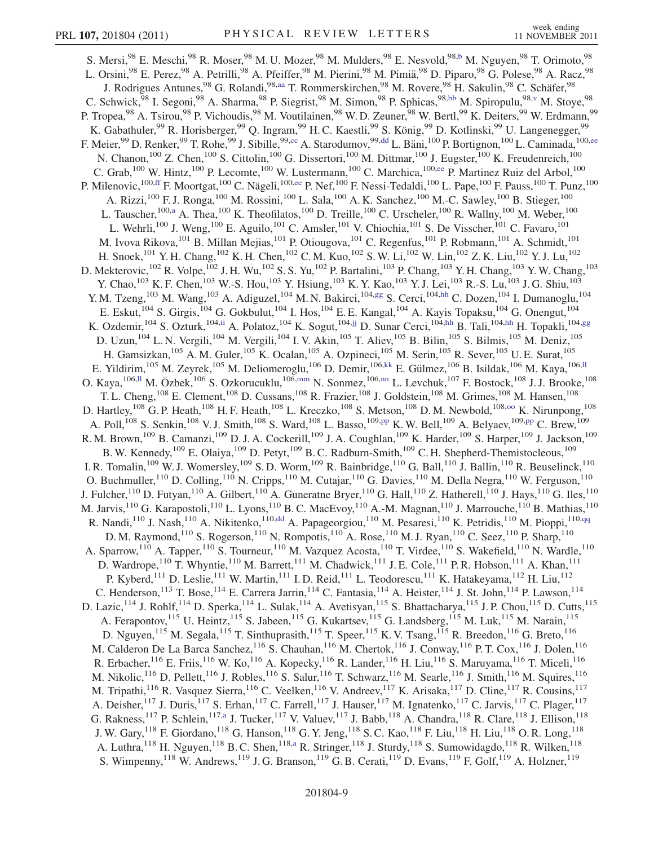S. Mersi,  $98$  E. Meschi,  $98$  R. Moser,  $98$  M. U. Mozer,  $98$  M. Mulders,  $98$  E. Nesvold,  $98, b$  M. Nguyen,  $98$  T. Orimoto,  $98$ L. Orsini,<sup>98</sup> E. Perez,<sup>98</sup> A. Petrilli,<sup>98</sup> A. Pfeiffer,<sup>98</sup> M. Pierini,<sup>98</sup> M. Pimiä,<sup>98</sup> D. Piparo,<sup>98</sup> G. Polese,<sup>98</sup> A. Racz,<sup>98</sup> J. Rodrigues Antunes,<sup>98</sup> G. Rolandi,<sup>98,aa</sup> T. Rommerskirchen,<sup>98</sup> M. Rovere,<sup>98</sup> H. Sakulin,<sup>98</sup> C. Schäfer,<sup>98</sup> C. Schwick,<sup>98</sup> I. Segoni,<sup>98</sup> A. Sharma,<sup>98</sup> P. Siegrist,<sup>98</sup> M. Simon,<sup>98</sup> P. Sphicas,<sup>98,bb</sup> M. Spiropulu,<sup>98,v</sup> M. Stoye,<sup>98</sup> P. Tropea,<sup>98</sup> A. Tsirou,<sup>98</sup> P. Vichoudis,<sup>98</sup> M. Voutilainen,<sup>98</sup> W. D. Zeuner,<sup>98</sup> W. Bertl,<sup>99</sup> K. Deiters,<sup>99</sup> W. Erdmann,<sup>99</sup> K. Gabathuler,<sup>99</sup> R. Horisberger,<sup>99</sup> Q. Ingram,<sup>99</sup> H. C. Kaestli,<sup>99</sup> S. König,<sup>99</sup> D. Kotlinski,<sup>99</sup> U. Langenegger,<sup>99</sup> F. Meier,<sup>99</sup> D. Renker,<sup>99</sup> T. Rohe,<sup>99</sup> J. Sibille,<sup>99,cc</sup> A. Starodumov,<sup>99,dd</sup> L. Bäni,<sup>100</sup> P. Bortignon,<sup>100</sup> L. Caminada,<sup>100,ee</sup> N. Chanon,<sup>100</sup> Z. Chen,<sup>100</sup> S. Cittolin,<sup>100</sup> G. Dissertori,<sup>100</sup> M. Dittmar,<sup>100</sup> J. Eugster,<sup>100</sup> K. Freudenreich,<sup>100</sup> C. Grab,<sup>100</sup> W. Hintz,<sup>100</sup> P. Lecomte,<sup>100</sup> W. Lustermann,<sup>100</sup> C. Marchica,<sup>100,ee</sup> P. Martinez Ruiz del Arbol,<sup>100</sup> P. Milenovic,<sup>100,ff</sup> F. Moortgat,<sup>100</sup> C. Nägeli,<sup>100,ee</sup> P. Nef,<sup>100</sup> F. Nessi-Tedaldi,<sup>100</sup> L. Pape,<sup>100</sup> F. Pauss,<sup>100</sup> T. Punz,<sup>100</sup> A. Rizzi,<sup>100</sup> F. J. Ronga,<sup>100</sup> M. Rossini,<sup>100</sup> L. Sala,<sup>100</sup> A. K. Sanchez,<sup>100</sup> M.-C. Sawley,<sup>100</sup> B. Stieger,<sup>100</sup> L. Tauscher,  $^{100,a}$  A. Thea,  $^{100}$  K. Theofilatos,  $^{100}$  D. Treille,  $^{100}$  C. Urscheler,  $^{100}$  R. Wallny,  $^{100}$  M. Weber,  $^{100}$ L. Wehrli,<sup>100</sup> J. Weng,<sup>100</sup> E. Aguilo,<sup>101</sup> C. Amsler,<sup>101</sup> V. Chiochia,<sup>101</sup> S. De Visscher,<sup>101</sup> C. Favaro,<sup>101</sup> M. Ivova Rikova, <sup>101</sup> B. Millan Mejias, <sup>101</sup> P. Otiougova, <sup>101</sup> C. Regenfus, <sup>101</sup> P. Robmann, <sup>101</sup> A. Schmidt, <sup>101</sup> H. Snoek,<sup>101</sup> Y. H. Chang,<sup>102</sup> K. H. Chen,<sup>102</sup> C. M. Kuo,<sup>102</sup> S. W. Li,<sup>102</sup> W. Lin,<sup>102</sup> Z. K. Liu,<sup>102</sup> Y. J. Lu,<sup>102</sup> D. Mekterovic,<sup>102</sup> R. Volpe,<sup>102</sup> J. H. Wu,<sup>102</sup> S. S. Yu,<sup>102</sup> P. Bartalini,<sup>103</sup> P. Chang,<sup>103</sup> Y. H. Chang,<sup>103</sup> Y. W. Chang,<sup>103</sup> Y. Chao,<sup>103</sup> K. F. Chen,<sup>103</sup> W.-S. Hou,<sup>103</sup> Y. Hsiung,<sup>103</sup> K. Y. Kao,<sup>103</sup> Y. J. Lei,<sup>103</sup> R.-S. Lu,<sup>103</sup> J. G. Shiu,<sup>103</sup> Y. M. Tzeng,<sup>103</sup> M. Wang,<sup>103</sup> A. Adiguzel,<sup>104</sup> M. N. Bakirci,<sup>104,gg</sup> S. Cerci,<sup>104,hh</sup> C. Dozen,<sup>104</sup> I. Dumanoglu,<sup>104</sup> E. Eskut,  $104$  S. Girgis,  $104$  G. Gokbulut,  $104$  I. Hos,  $104$  E. E. Kangal,  $104$  A. Kayis Topaksu,  $104$  G. Onengut,  $104$ K. Ozdemir, <sup>104</sup> S. Ozturk, <sup>104,ii</sup> A. Polatoz, <sup>104</sup> K. Sogut, <sup>104,jj</sup> D. Sunar Cerci, <sup>104,hh</sup> B. Tali, <sup>104,hh</sup> H. Topakli, <sup>104,gg</sup> D. Uzun,<sup>104</sup> L. N. Vergili,<sup>104</sup> M. Vergili,<sup>104</sup> I. V. Akin,<sup>105</sup> T. Aliev,<sup>105</sup> B. Bilin,<sup>105</sup> S. Bilmis,<sup>105</sup> M. Deniz,<sup>105</sup> H. Gamsizkan, <sup>105</sup> A. M. Guler, <sup>105</sup> K. Ocalan, <sup>105</sup> A. Ozpineci, <sup>105</sup> M. Serin, <sup>105</sup> R. Sever, <sup>105</sup> U. E. Surat, <sup>105</sup> E. Yildirim,<sup>105</sup> M. Zeyrek,<sup>105</sup> M. Deliomeroglu,<sup>106</sup> D. Demir,<sup>106,kk</sup> E. Gülmez,<sup>106</sup> B. Isildak,<sup>106</sup> M. Kaya,<sup>106,11</sup> O. Kaya, <sup>106,11</sup> M. Özbek, <sup>106</sup> S. Ozkorucuklu, <sup>106,mm</sup> N. Sonmez, <sup>106,nn</sup> L. Levchuk, <sup>107</sup> F. Bostock, <sup>108</sup> J. J. Brooke, <sup>108</sup> T. L. Cheng, <sup>108</sup> E. Clement, <sup>108</sup> D. Cussans, <sup>108</sup> R. Frazier, <sup>108</sup> J. Goldstein, <sup>108</sup> M. Grimes, <sup>108</sup> M. Hansen, <sup>108</sup> D. Hartley,<sup>108</sup> G. P. Heath,<sup>108</sup> H. F. Heath,<sup>108</sup> L. Kreczko,<sup>108</sup> S. Metson,<sup>108</sup> D. M. Newbold,<sup>108,00</sup> K. Nirunpong,<sup>108</sup> A. Poll,<sup>108</sup> S. Senkin,<sup>108</sup> V. J. Smith,<sup>108</sup> S. Ward,<sup>108</sup> L. Basso,<sup>109,pp</sup> K. W. Bell,<sup>109</sup> A. Belyaev,<sup>109,pp</sup> C. Brew,<sup>109</sup> R. M. Brown,<sup>109</sup> B. Camanzi,<sup>109</sup> D. J. A. Cockerill,<sup>109</sup> J. A. Coughlan,<sup>109</sup> K. Harder,<sup>109</sup> S. Harper,<sup>109</sup> J. Jackson,<sup>109</sup> B. W. Kennedy, <sup>109</sup> E. Olaiya, <sup>109</sup> D. Petyt, <sup>109</sup> B. C. Radburn-Smith, <sup>109</sup> C. H. Shepherd-Themistocleous, <sup>109</sup> I. R. Tomalin,<sup>109</sup> W. J. Womersley,<sup>109</sup> S. D. Worm,<sup>109</sup> R. Bainbridge,<sup>110</sup> G. Ball,<sup>110</sup> J. Ballin,<sup>110</sup> R. Beuselinck,<sup>110</sup> O. Buchmuller,<sup>110</sup> D. Colling,<sup>110</sup> N. Cripps,<sup>110</sup> M. Cutajar,<sup>110</sup> G. Davies,<sup>110</sup> M. Della Negra,<sup>110</sup> W. Ferguson,<sup>110</sup> J. Fulcher,<sup>110</sup> D. Futyan,<sup>110</sup> A. Gilbert,<sup>110</sup> A. Guneratne Bryer,<sup>110</sup> G. Hall,<sup>110</sup> Z. Hatherell,<sup>110</sup> J. Hays,<sup>110</sup> G. Iles,<sup>110</sup> M. Jarvis,<sup>110</sup> G. Karapostoli,<sup>110</sup> L. Lyons,<sup>110</sup> B. C. MacEvoy,<sup>110</sup> A.-M. Magnan,<sup>110</sup> J. Marrouche,<sup>110</sup> B. Mathias,<sup>110</sup> R. Nandi,<sup>110</sup> J. Nash,<sup>110</sup> A. Nikitenko,<sup>110,dd</sup> A. Papageorgiou,<sup>110</sup> M. Pesaresi,<sup>110</sup> K. Petridis,<sup>110</sup> M. Pioppi,<sup>110,qq</sup> D. M. Raymond,<sup>110</sup> S. Rogerson,<sup>110</sup> N. Rompotis,<sup>110</sup> A. Rose,<sup>110</sup> M. J. Ryan,<sup>110</sup> C. Seez,<sup>110</sup> P. Sharp,<sup>110</sup> A. Sparrow, <sup>110</sup> A. Tapper, <sup>110</sup> S. Tourneur, <sup>110</sup> M. Vazquez Acosta, <sup>110</sup> T. Virdee, <sup>110</sup> S. Wakefield, <sup>110</sup> N. Wardle, <sup>110</sup> D. Wardrope,<sup>110</sup> T. Whyntie,<sup>110</sup> M. Barrett,<sup>111</sup> M. Chadwick,<sup>111</sup> J. E. Cole,<sup>111</sup> P. R. Hobson,<sup>111</sup> A. Khan,<sup>111</sup> P. Kyberd,<sup>111</sup> D. Leslie,<sup>111</sup> W. Martin,<sup>111</sup> I. D. Reid,<sup>111</sup> L. Teodorescu,<sup>111</sup> K. Hatakeyama,<sup>112</sup> H. Liu,<sup>112</sup> C. Henderson,<sup>113</sup> T. Bose,<sup>114</sup> E. Carrera Jarrin,<sup>114</sup> C. Fantasia,<sup>114</sup> A. Heister,<sup>114</sup> J. St. John,<sup>114</sup> P. Lawson,<sup>114</sup> D. Lazic,<sup>114</sup> J. Rohlf,<sup>114</sup> D. Sperka,<sup>114</sup> L. Sulak,<sup>114</sup> A. Avetisyan,<sup>115</sup> S. Bhattacharya,<sup>115</sup> J. P. Chou,<sup>115</sup> D. Cutts,<sup>115</sup> A. Ferapontov,<sup>115</sup> U. Heintz,<sup>115</sup> S. Jabeen,<sup>115</sup> G. Kukartsev,<sup>115</sup> G. Landsberg,<sup>115</sup> M. Luk,<sup>115</sup> M. Narain,<sup>115</sup> D. Nguyen,  $^{115}$  M. Segala,  $^{115}$  T. Sinthuprasith,  $^{115}$  T. Speer,  $^{115}$  K. V. Tsang,  $^{115}$  R. Breedon,  $^{116}$  G. Breto,  $^{116}$ M. Calderon De La Barca Sanchez, 116 S. Chauhan, 116 M. Chertok, <sup>116</sup> J. Conway, <sup>116</sup> P. T. Cox, <sup>116</sup> J. Dolen, <sup>116</sup> R. Erbacher, <sup>116</sup> E. Friis, <sup>116</sup> W. Ko, <sup>116</sup> A. Kopecky, <sup>116</sup> R. Lander, <sup>116</sup> H. Liu, <sup>116</sup> S. Maruyama, <sup>116</sup> T. Miceli, <sup>116</sup> M. Nikolic,<sup>116</sup> D. Pellett,<sup>116</sup> J. Robles,<sup>116</sup> S. Salur,<sup>116</sup> T. Schwarz,<sup>116</sup> M. Searle,<sup>116</sup> J. Smith,<sup>116</sup> M. Squires,<sup>116</sup> M. Tripathi,<sup>116</sup> R. Vasquez Sierra,<sup>116</sup> C. Veelken,<sup>116</sup> V. Andreev,<sup>117</sup> K. Arisaka,<sup>117</sup> D. Cline,<sup>117</sup> R. Cousins,<sup>117</sup> A. Deisher,<sup>117</sup> J. Duris,<sup>117</sup> S. Erhan,<sup>117</sup> C. Farrell,<sup>117</sup> J. Hauser,<sup>117</sup> M. Ignatenko,<sup>117</sup> C. Jarvis,<sup>117</sup> C. Plager,<sup>117</sup> G. Rakness,<sup>117</sup> P. Schlein,<sup>117,a</sup> J. Tucker,<sup>117</sup> V. Valuev,<sup>117</sup> J. Babb,<sup>118</sup> A. Chandra,<sup>118</sup> R. Clare,<sup>118</sup> J. Ellison,<sup>118</sup> J. W. Gary,<sup>118</sup> F. Giordano,<sup>118</sup> G. Hanson,<sup>118</sup> G. Y. Jeng,<sup>118</sup> S. C. Kao,<sup>118</sup> F. Liu,<sup>118</sup> H. Liu,<sup>118</sup> O. R. Long,<sup>118</sup> A. Luthra,  $^{118}$  H. Nguyen,  $^{118}$  B. C. Shen,  $^{118,a}$  R. Stringer,  $^{118}$  J. Sturdy,  $^{118}$  S. Sumowidagdo,  $^{118}$  R. Wilken,  $^{118}$ S. Wimpenny,<sup>118</sup> W. Andrews,<sup>119</sup> J. G. Branson,<sup>119</sup> G. B. Cerati,<sup>119</sup> D. Evans,<sup>119</sup> F. Golf,<sup>119</sup> A. Holzner,<sup>119</sup>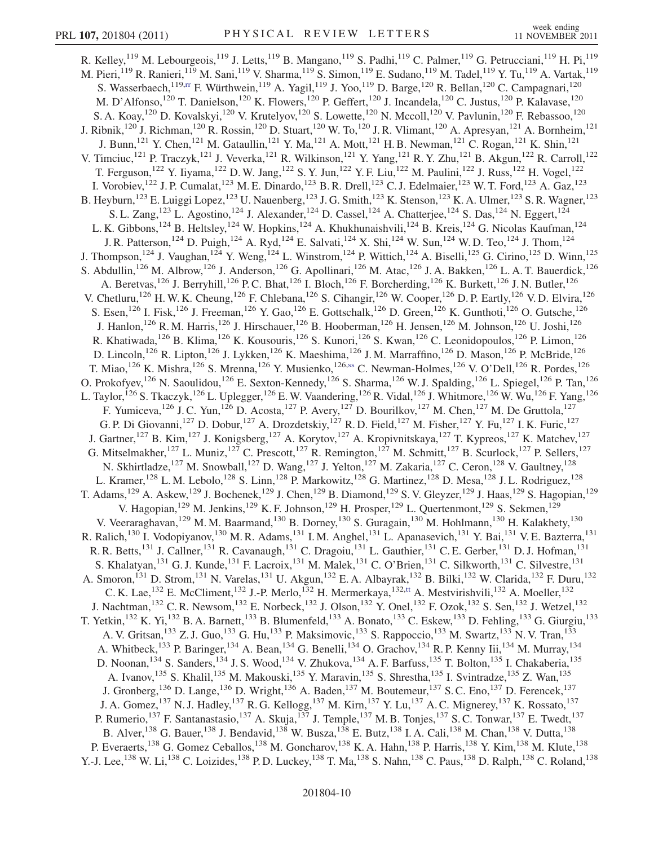R. Kelley,<sup>119</sup> M. Lebourgeois,<sup>119</sup> J. Letts,<sup>119</sup> B. Mangano,<sup>119</sup> S. Padhi,<sup>119</sup> C. Palmer,<sup>119</sup> G. Petrucciani,<sup>119</sup> H. Pi,<sup>119</sup> M. Pieri,<sup>119</sup> R. Ranieri,<sup>119</sup> M. Sani,<sup>119</sup> V. Sharma,<sup>119</sup> S. Simon,<sup>119</sup> E. Sudano,<sup>119</sup> M. Tadel,<sup>119</sup> Y. Tu,<sup>119</sup> A. Vartak,<sup>119</sup> S. Wasserbaech,<sup>119,rr</sup> F. Würthwein,<sup>119</sup> A. Yagil,<sup>119</sup> J. Yoo,<sup>119</sup> D. Barge,<sup>120</sup> R. Bellan,<sup>120</sup> C. Campagnari,<sup>120</sup> M. D'Alfonso,<sup>120</sup> T. Danielson,<sup>120</sup> K. Flowers,<sup>120</sup> P. Geffert,<sup>120</sup> J. Incandela,<sup>120</sup> C. Justus,<sup>120</sup> P. Kalavase,<sup>120</sup> S. A. Koay,<sup>120</sup> D. Kovalskyi,<sup>120</sup> V. Krutelyov,<sup>120</sup> S. Lowette,<sup>120</sup> N. Mccoll,<sup>120</sup> V. Pavlunin,<sup>120</sup> F. Rebassoo,<sup>120</sup> J. Ribnik,<sup>120</sup> J. Richman,<sup>120</sup> R. Rossin,<sup>120</sup> D. Stuart,<sup>120</sup> W. To,<sup>120</sup> J. R. Vlimant,<sup>120</sup> A. Apresyan,<sup>121</sup> A. Bornheim,<sup>121</sup> J. Bunn,<sup>121</sup> Y. Chen,<sup>121</sup> M. Gataullin,<sup>121</sup> Y. Ma,<sup>121</sup> A. Mott,<sup>121</sup> H. B. Newman,<sup>121</sup> C. Rogan,<sup>121</sup> K. Shin,<sup>121</sup> V. Timciuc,<sup>121</sup> P. Traczyk,<sup>121</sup> J. Veverka,<sup>121</sup> R. Wilkinson,<sup>121</sup> Y. Yang,<sup>121</sup> R. Y. Zhu,<sup>121</sup> B. Akgun,<sup>122</sup> R. Carroll,<sup>122</sup> T. Ferguson,<sup>122</sup> Y. Iiyama,<sup>122</sup> D. W. Jang,<sup>122</sup> S. Y. Jun,<sup>122</sup> Y. F. Liu,<sup>122</sup> M. Paulini,<sup>122</sup> J. Russ,<sup>122</sup> H. Vogel,<sup>122</sup> I. Vorobiev,<sup>122</sup> J. P. Cumalat,<sup>123</sup> M. E. Dinardo,<sup>123</sup> B. R. Drell,<sup>123</sup> C. J. Edelmaier,<sup>123</sup> W. T. Ford,<sup>123</sup> A. Gaz,<sup>123</sup> B. Heyburn,<sup>123</sup> E. Luiggi Lopez,<sup>123</sup> U. Nauenberg,<sup>123</sup> J. G. Smith,<sup>123</sup> K. Stenson,<sup>123</sup> K. A. Ulmer,<sup>123</sup> S. R. Wagner,<sup>123</sup> S. L. Zang,<sup>123</sup> L. Agostino,<sup>124</sup> J. Alexander,<sup>124</sup> D. Cassel,<sup>124</sup> A. Chatterjee,<sup>124</sup> S. Das,<sup>124</sup> N. Eggert,<sup>124</sup> L. K. Gibbons,<sup>124</sup> B. Heltsley,<sup>124</sup> W. Hopkins,<sup>124</sup> A. Khukhunaishvili,<sup>124</sup> B. Kreis,<sup>124</sup> G. Nicolas Kaufman,<sup>124</sup> J. R. Patterson,<sup>124</sup> D. Puigh,<sup>124</sup> A. Ryd,<sup>124</sup> E. Salvati,<sup>124</sup> X. Shi,<sup>124</sup> W. Sun,<sup>124</sup> W. D. Teo,<sup>124</sup> J. Thom,<sup>124</sup> J. Thompson,<sup>124</sup> J. Vaughan,<sup>124</sup> Y. Weng,<sup>124</sup> L. Winstrom,<sup>124</sup> P. Wittich,<sup>124</sup> A. Biselli,<sup>125</sup> G. Cirino,<sup>125</sup> D. Winn,<sup>125</sup> S. Abdullin,<sup>126</sup> M. Albrow,<sup>126</sup> J. Anderson,<sup>126</sup> G. Apollinari,<sup>126</sup> M. Atac,<sup>126</sup> J. A. Bakken,<sup>126</sup> L. A. T. Bauerdick,<sup>126</sup> A. Beretvas,<sup>126</sup> J. Berryhill,<sup>126</sup> P.C. Bhat,<sup>126</sup> I. Bloch,<sup>126</sup> F. Borcherding,<sup>126</sup> K. Burkett,<sup>126</sup> J.N. Butler,<sup>126</sup> V. Chetluru,<sup>126</sup> H. W. K. Cheung,<sup>126</sup> F. Chlebana,<sup>126</sup> S. Cihangir,<sup>126</sup> W. Cooper,<sup>126</sup> D. P. Eartly,<sup>126</sup> V. D. Elvira,<sup>126</sup> S. Esen,<sup>126</sup> I. Fisk,<sup>126</sup> J. Freeman,<sup>126</sup> Y. Gao,<sup>126</sup> E. Gottschalk,<sup>126</sup> D. Green,<sup>126</sup> K. Gunthoti,<sup>126</sup> O. Gutsche,<sup>126</sup> J. Hanlon,<sup>126</sup> R. M. Harris,<sup>126</sup> J. Hirschauer,<sup>126</sup> B. Hooberman,<sup>126</sup> H. Jensen,<sup>126</sup> M. Johnson,<sup>126</sup> U. Joshi,<sup>126</sup> R. Khatiwada,<sup>126</sup> B. Klima,<sup>126</sup> K. Kousouris,<sup>126</sup> S. Kunori,<sup>126</sup> S. Kwan,<sup>126</sup> C. Leonidopoulos,<sup>126</sup> P. Limon,<sup>126</sup> D. Lincoln,<sup>126</sup> R. Lipton,<sup>126</sup> J. Lykken,<sup>126</sup> K. Maeshima,<sup>126</sup> J. M. Marraffino,<sup>126</sup> D. Mason,<sup>126</sup> P. McBride,<sup>126</sup> T. Miao,<sup>126</sup> K. Mishra,<sup>126</sup> S. Mrenna,<sup>126</sup> Y. Musienko,<sup>126,ss</sup> C. Newman-Holmes,<sup>126</sup> V. O'Dell,<sup>126</sup> R. Pordes,<sup>126</sup> O. Prokofyev,<sup>126</sup> N. Saoulidou,<sup>126</sup> E. Sexton-Kennedy,<sup>126</sup> S. Sharma,<sup>126</sup> W. J. Spalding,<sup>126</sup> L. Spiegel,<sup>126</sup> P. Tan,<sup>126</sup> L. Taylor,<sup>126</sup> S. Tkaczyk,<sup>126</sup> L. Uplegger,<sup>126</sup> E. W. Vaandering,<sup>126</sup> R. Vidal,<sup>126</sup> J. Whitmore,<sup>126</sup> W. Wu,<sup>126</sup> F. Yang,<sup>126</sup> F. Yumiceva,<sup>126</sup> J. C. Yun,<sup>126</sup> D. Acosta,<sup>127</sup> P. Avery,<sup>127</sup> D. Bourilkov,<sup>127</sup> M. Chen,<sup>127</sup> M. De Gruttola,<sup>127</sup> G. P. Di Giovanni,<sup>127</sup> D. Dobur,<sup>127</sup> A. Drozdetskiy,<sup>127</sup> R. D. Field,<sup>127</sup> M. Fisher,<sup>127</sup> Y. Fu,<sup>127</sup> I. K. Furic,<sup>127</sup> J. Gartner,<sup>127</sup> B. Kim,<sup>127</sup> J. Konigsberg,<sup>127</sup> A. Korytov,<sup>127</sup> A. Kropivnitskaya,<sup>127</sup> T. Kypreos,<sup>127</sup> K. Matchev,<sup>127</sup> G. Mitselmakher,<sup>127</sup> L. Muniz,<sup>127</sup> C. Prescott,<sup>127</sup> R. Remington,<sup>127</sup> M. Schmitt,<sup>127</sup> B. Scurlock,<sup>127</sup> P. Sellers,<sup>127</sup> N. Skhirtladze,<sup>127</sup> M. Snowball,<sup>127</sup> D. Wang,<sup>127</sup> J. Yelton,<sup>127</sup> M. Zakaria,<sup>127</sup> C. Ceron,<sup>128</sup> V. Gaultney,<sup>128</sup> L. Kramer,<sup>128</sup> L. M. Lebolo,<sup>128</sup> S. Linn,<sup>128</sup> P. Markowitz,<sup>128</sup> G. Martinez,<sup>128</sup> D. Mesa,<sup>128</sup> J. L. Rodriguez,<sup>128</sup> T. Adams,<sup>129</sup> A. Askew,<sup>129</sup> J. Bochenek,<sup>129</sup> J. Chen,<sup>129</sup> B. Diamond,<sup>129</sup> S. V. Gleyzer,<sup>129</sup> J. Haas,<sup>129</sup> S. Hagopian,<sup>129</sup> V. Hagopian,<sup>129</sup> M. Jenkins,<sup>129</sup> K. F. Johnson,<sup>129</sup> H. Prosper,<sup>129</sup> L. Quertenmont,<sup>129</sup> S. Sekmen,<sup>129</sup> V. Veeraraghavan, <sup>129</sup> M. M. Baarmand, <sup>130</sup> B. Dorney, <sup>130</sup> S. Guragain, <sup>130</sup> M. Hohlmann, <sup>130</sup> H. Kalakhety, <sup>130</sup> R. Ralich,<sup>130</sup> I. Vodopiyanov,<sup>130</sup> M. R. Adams,<sup>131</sup> I. M. Anghel,<sup>131</sup> L. Apanasevich,<sup>131</sup> Y. Bai,<sup>131</sup> V. E. Bazterra,<sup>131</sup> R. R. Betts,<sup>131</sup> J. Callner,<sup>131</sup> R. Cavanaugh,<sup>131</sup> C. Dragoiu,<sup>131</sup> L. Gauthier,<sup>131</sup> C. E. Gerber,<sup>131</sup> D. J. Hofman,<sup>131</sup> S. Khalatyan,<sup>131</sup> G. J. Kunde,<sup>131</sup> F. Lacroix,<sup>131</sup> M. Malek,<sup>131</sup> C. O'Brien,<sup>131</sup> C. Silkworth,<sup>131</sup> C. Silvestre,<sup>131</sup> A. Smoron,<sup>131</sup> D. Strom,<sup>131</sup> N. Varelas,<sup>131</sup> U. Akgun,<sup>132</sup> E. A. Albayrak,<sup>132</sup> B. Bilki,<sup>132</sup> W. Clarida,<sup>132</sup> F. Duru,<sup>132</sup> C. K. Lae,<sup>132</sup> E. McCliment,<sup>132</sup> J.-P. Merlo,<sup>132</sup> H. Mermerkaya,<sup>132,tt</sup> A. Mestvirishvili,<sup>132</sup> A. Moeller,<sup>132</sup> J. Nachtman,<sup>132</sup> C. R. Newsom,<sup>132</sup> E. Norbeck,<sup>132</sup> J. Olson,<sup>132</sup> Y. Onel,<sup>132</sup> F. Ozok,<sup>132</sup> S. Sen,<sup>132</sup> J. Wetzel,<sup>132</sup> T. Yetkin,<sup>132</sup> K. Yi,<sup>132</sup> B. A. Barnett,<sup>133</sup> B. Blumenfeld,<sup>133</sup> A. Bonato,<sup>133</sup> C. Eskew,<sup>133</sup> D. Fehling,<sup>133</sup> G. Giurgiu,<sup>133</sup> A. V. Gritsan, <sup>133</sup> Z. J. Guo, <sup>133</sup> G. Hu, <sup>133</sup> P. Maksimovic, <sup>133</sup> S. Rappoccio, <sup>133</sup> M. Swartz, <sup>133</sup> N. V. Tran, <sup>133</sup> A. Whitbeck,<sup>133</sup> P. Baringer,<sup>134</sup> A. Bean,<sup>134</sup> G. Benelli,<sup>134</sup> O. Grachov,<sup>134</sup> R. P. Kenny Iii,<sup>134</sup> M. Murray,<sup>134</sup> D. Noonan, <sup>134</sup> S. Sanders, <sup>134</sup> J. S. Wood, <sup>134</sup> V. Zhukova, <sup>134</sup> A. F. Barfuss, <sup>135</sup> T. Bolton, <sup>135</sup> I. Chakaberia, <sup>135</sup> A. Ivanov,<sup>135</sup> S. Khalil,<sup>135</sup> M. Makouski,<sup>135</sup> Y. Maravin,<sup>135</sup> S. Shrestha,<sup>135</sup> I. Svintradze,<sup>135</sup> Z. Wan,<sup>135</sup> J. Gronberg,<sup>136</sup> D. Lange,<sup>136</sup> D. Wright,<sup>136</sup> A. Baden,<sup>137</sup> M. Boutemeur,<sup>137</sup> S. C. Eno,<sup>137</sup> D. Ferencek,<sup>137</sup> J. A. Gomez,<sup>137</sup> N. J. Hadley,<sup>137</sup> R. G. Kellogg,<sup>137</sup> M. Kirn,<sup>137</sup> Y. Lu,<sup>137</sup> A. C. Mignerey,<sup>137</sup> K. Rossato,<sup>137</sup> P. Rumerio,<sup>137</sup> F. Santanastasio,<sup>137</sup> A. Skuja,<sup>137</sup> J. Temple,<sup>137</sup> M. B. Tonjes,<sup>137</sup> S. C. Tonwar,<sup>137</sup> E. Twedt,<sup>137</sup> B. Alver, <sup>138</sup> G. Bauer, <sup>138</sup> J. Bendavid, <sup>138</sup> W. Busza, <sup>138</sup> E. Butz, <sup>138</sup> I. A. Cali, <sup>138</sup> M. Chan, <sup>138</sup> V. Dutta, <sup>138</sup> P. Everaerts,<sup>138</sup> G. Gomez Ceballos,<sup>138</sup> M. Goncharov,<sup>138</sup> K. A. Hahn,<sup>138</sup> P. Harris,<sup>138</sup> Y. Kim,<sup>138</sup> M. Klute,<sup>138</sup> Y.-J. Lee,<sup>138</sup> W. Li,<sup>138</sup> C. Loizides,<sup>138</sup> P.D. Luckey,<sup>138</sup> T. Ma,<sup>138</sup> S. Nahn,<sup>138</sup> C. Paus,<sup>138</sup> D. Ralph,<sup>138</sup> C. Roland,<sup>138</sup>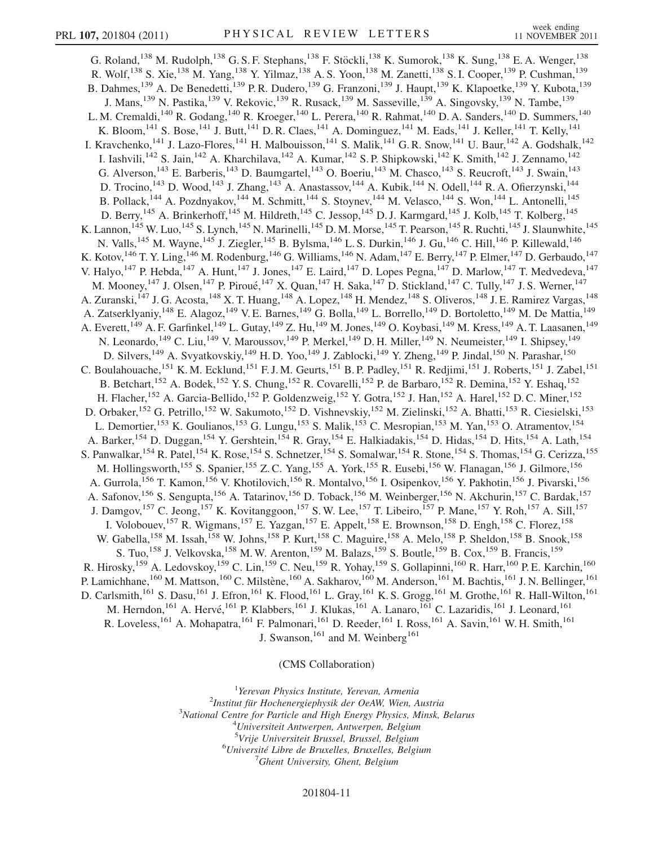G. Roland,<sup>138</sup> M. Rudolph,<sup>138</sup> G. S. F. Stephans,<sup>138</sup> F. Stöckli,<sup>138</sup> K. Sumorok,<sup>138</sup> K. Sung,<sup>138</sup> E. A. Wenger,<sup>138</sup> R. Wolf,<sup>138</sup> S. Xie,<sup>138</sup> M. Yang,<sup>138</sup> Y. Yilmaz,<sup>138</sup> A. S. Yoon,<sup>138</sup> M. Zanetti,<sup>138</sup> S. I. Cooper,<sup>139</sup> P. Cushman,<sup>139</sup> B. Dahmes,<sup>139</sup> A. De Benedetti,<sup>139</sup> P. R. Dudero,<sup>139</sup> G. Franzoni,<sup>139</sup> J. Haupt,<sup>139</sup> K. Klapoetke,<sup>139</sup> Y. Kubota,<sup>139</sup> J. Mans,<sup>139</sup> N. Pastika,<sup>139</sup> V. Rekovic,<sup>139</sup> R. Rusack,<sup>139</sup> M. Sasseville,<sup>139</sup> A. Singovsky,<sup>139</sup> N. Tambe,<sup>139</sup> L. M. Cremaldi,<sup>140</sup> R. Godang,<sup>140</sup> R. Kroeger,<sup>140</sup> L. Perera,<sup>140</sup> R. Rahmat,<sup>140</sup> D. A. Sanders,<sup>140</sup> D. Summers,<sup>140</sup> K. Bloom,<sup>141</sup> S. Bose,<sup>141</sup> J. Butt,<sup>141</sup> D. R. Claes,<sup>141</sup> A. Dominguez,<sup>141</sup> M. Eads,<sup>141</sup> J. Keller,<sup>141</sup> T. Kelly,<sup>141</sup> I. Kravchenko,<sup>141</sup> J. Lazo-Flores,<sup>141</sup> H. Malbouisson,<sup>141</sup> S. Malik,<sup>141</sup> G. R. Snow,<sup>141</sup> U. Baur,<sup>142</sup> A. Godshalk,<sup>142</sup> I. Iashvili,<sup>142</sup> S. Jain,<sup>142</sup> A. Kharchilava,<sup>142</sup> A. Kumar,<sup>142</sup> S. P. Shipkowski,<sup>142</sup> K. Smith,<sup>142</sup> J. Zennamo,<sup>142</sup> G. Alverson,<sup>143</sup> E. Barberis,<sup>143</sup> D. Baumgartel,<sup>143</sup> O. Boeriu,<sup>143</sup> M. Chasco,<sup>143</sup> S. Reucroft,<sup>143</sup> J. Swain,<sup>143</sup> D. Trocino,<sup>143</sup> D. Wood,<sup>143</sup> J. Zhang,<sup>143</sup> A. Anastassov,<sup>144</sup> A. Kubik,<sup>144</sup> N. Odell,<sup>144</sup> R. A. Ofierzynski,<sup>144</sup> B. Pollack,<sup>144</sup> A. Pozdnyakov,<sup>144</sup> M. Schmitt,<sup>144</sup> S. Stoynev,<sup>144</sup> M. Velasco,<sup>144</sup> S. Won,<sup>144</sup> L. Antonelli,<sup>145</sup> D. Berry,<sup>145</sup> A. Brinkerhoff,<sup>145</sup> M. Hildreth,<sup>145</sup> C. Jessop,<sup>145</sup> D. J. Karmgard,<sup>145</sup> J. Kolb,<sup>145</sup> T. Kolberg,<sup>145</sup> K. Lannon,  $^{145}$  W. Luo,  $^{145}$  S. Lynch,  $^{145}$  N. Marinelli,  $^{145}$  D. M. Morse,  $^{145}$  T. Pearson,  $^{145}$  R. Ruchti,  $^{145}$  J. Slaunwhite,  $^{145}$ N. Valls,<sup>145</sup> M. Wayne,<sup>145</sup> J. Ziegler,<sup>145</sup> B. Bylsma,<sup>146</sup> L. S. Durkin,<sup>146</sup> J. Gu,<sup>146</sup> C. Hill,<sup>146</sup> P. Killewald,<sup>146</sup> K. Kotov,  $^{146}$  T. Y. Ling,  $^{146}$  M. Rodenburg,  $^{146}$  G. Williams,  $^{146}$  N. Adam,  $^{147}$  E. Berry,  $^{147}$  P. Elmer,  $^{147}$  D. Gerbaudo,  $^{147}$ V. Halyo,<sup>147</sup> P. Hebda,<sup>147</sup> A. Hunt,<sup>147</sup> J. Jones,<sup>147</sup> E. Laird,<sup>147</sup> D. Lopes Pegna,<sup>147</sup> D. Marlow,<sup>147</sup> T. Medvedeva,<sup>147</sup> M. Mooney, <sup>147</sup> J. Olsen, <sup>147</sup> P. Piroué, <sup>147</sup> X. Quan, <sup>147</sup> H. Saka, <sup>147</sup> D. Stickland, <sup>147</sup> C. Tully, <sup>147</sup> J. S. Werner, <sup>147</sup> A. Zuranski,<sup>147</sup> J. G. Acosta,<sup>148</sup> X. T. Huang,<sup>148</sup> A. Lopez,<sup>148</sup> H. Mendez,<sup>148</sup> S. Oliveros,<sup>148</sup> J. E. Ramirez Vargas,<sup>148</sup> A. Zatserklyaniy,<sup>148</sup> E. Alagoz,<sup>149</sup> V. E. Barnes,<sup>149</sup> G. Bolla,<sup>149</sup> L. Borrello,<sup>149</sup> D. Bortoletto,<sup>149</sup> M. De Mattia,<sup>149</sup> A. Everett,<sup>149</sup> A. F. Garfinkel,<sup>149</sup> L. Gutay,<sup>149</sup> Z. Hu,<sup>149</sup> M. Jones,<sup>149</sup> O. Koybasi,<sup>149</sup> M. Kress,<sup>149</sup> A. T. Laasanen,<sup>149</sup> N. Leonardo,<sup>149</sup> C. Liu,<sup>149</sup> V. Maroussov,<sup>149</sup> P. Merkel,<sup>149</sup> D. H. Miller,<sup>149</sup> N. Neumeister,<sup>149</sup> I. Shipsey,<sup>149</sup> D. Silvers,<sup>149</sup> A. Svyatkovskiy,<sup>149</sup> H.D. Yoo,<sup>149</sup> J. Zablocki,<sup>149</sup> Y. Zheng,<sup>149</sup> P. Jindal,<sup>150</sup> N. Parashar,<sup>150</sup> C. Boulahouache,<sup>151</sup> K. M. Ecklund,<sup>151</sup> F. J. M. Geurts,<sup>151</sup> B. P. Padley,<sup>151</sup> R. Redjimi,<sup>151</sup> J. Roberts,<sup>151</sup> J. Zabel,<sup>151</sup> B. Betchart,<sup>152</sup> A. Bodek,<sup>152</sup> Y. S. Chung,<sup>152</sup> R. Covarelli,<sup>152</sup> P. de Barbaro,<sup>152</sup> R. Demina,<sup>152</sup> Y. Eshaq,<sup>152</sup> H. Flacher,<sup>152</sup> A. Garcia-Bellido,<sup>152</sup> P. Goldenzweig,<sup>152</sup> Y. Gotra,<sup>152</sup> J. Han,<sup>152</sup> A. Harel,<sup>152</sup> D.C. Miner,<sup>152</sup> D. Orbaker,<sup>152</sup> G. Petrillo,<sup>152</sup> W. Sakumoto,<sup>152</sup> D. Vishnevskiy,<sup>152</sup> M. Zielinski,<sup>152</sup> A. Bhatti,<sup>153</sup> R. Ciesielski,<sup>153</sup> L. Demortier,<sup>153</sup> K. Goulianos,<sup>153</sup> G. Lungu,<sup>153</sup> S. Malik,<sup>153</sup> C. Mesropian,<sup>153</sup> M. Yan,<sup>153</sup> O. Atramentov,<sup>154</sup> A. Barker,<sup>154</sup> D. Duggan,<sup>154</sup> Y. Gershtein,<sup>154</sup> R. Gray,<sup>154</sup> E. Halkiadakis,<sup>154</sup> D. Hidas,<sup>154</sup> D. Hits,<sup>154</sup> A. Lath,<sup>154</sup> S. Panwalkar, <sup>154</sup> R. Patel, <sup>154</sup> K. Rose, <sup>154</sup> S. Schnetzer, <sup>154</sup> S. Somalwar, <sup>154</sup> R. Stone, <sup>154</sup> S. Thomas, <sup>154</sup> G. Cerizza, <sup>155</sup> M. Hollingsworth,<sup>155</sup> S. Spanier,<sup>155</sup> Z. C. Yang,<sup>155</sup> A. York,<sup>155</sup> R. Eusebi,<sup>156</sup> W. Flanagan,<sup>156</sup> J. Gilmore,<sup>156</sup> A. Gurrola, <sup>156</sup> T. Kamon, <sup>156</sup> V. Khotilovich, <sup>156</sup> R. Montalvo, <sup>156</sup> I. Osipenkov, <sup>156</sup> Y. Pakhotin, <sup>156</sup> J. Pivarski, <sup>156</sup> A. Safonov,<sup>156</sup> S. Sengupta,<sup>156</sup> A. Tatarinov,<sup>156</sup> D. Toback,<sup>156</sup> M. Weinberger,<sup>156</sup> N. Akchurin,<sup>157</sup> C. Bardak,<sup>157</sup> J. Damgov,<sup>157</sup> C. Jeong,<sup>157</sup> K. Kovitanggoon,<sup>157</sup> S. W. Lee,<sup>157</sup> T. Libeiro,<sup>157</sup> P. Mane,<sup>157</sup> Y. Roh,<sup>157</sup> A. Sill,<sup>157</sup> I. Volobouev,<sup>157</sup> R. Wigmans,<sup>157</sup> E. Yazgan,<sup>157</sup> E. Appelt,<sup>158</sup> E. Brownson,<sup>158</sup> D. Engh,<sup>158</sup> C. Florez,<sup>158</sup> W. Gabella,<sup>158</sup> M. Issah,<sup>158</sup> W. Johns,<sup>158</sup> P. Kurt,<sup>158</sup> C. Maguire,<sup>158</sup> A. Melo,<sup>158</sup> P. Sheldon,<sup>158</sup> B. Snook,<sup>158</sup> S. Tuo, <sup>158</sup> J. Velkovska, <sup>158</sup> M. W. Arenton, <sup>159</sup> M. Balazs, <sup>159</sup> S. Boutle, <sup>159</sup> B. Cox, <sup>159</sup> B. Francis, <sup>159</sup> R. Hirosky,<sup>159</sup> A. Ledovskoy,<sup>159</sup> C. Lin,<sup>159</sup> C. Neu,<sup>159</sup> R. Yohay,<sup>159</sup> S. Gollapinni,<sup>160</sup> R. Harr,<sup>160</sup> P. E. Karchin,<sup>160</sup> P. Lamichhane,<sup>160</sup> M. Mattson,<sup>160</sup> C. Milstène,<sup>160</sup> A. Sakharov,<sup>160</sup> M. Anderson,<sup>161</sup> M. Bachtis,<sup>161</sup> J. N. Bellinger,<sup>161</sup> D. Carlsmith,<sup>161</sup> S. Dasu,<sup>161</sup> J. Efron,<sup>161</sup> K. Flood,<sup>161</sup> L. Gray,<sup>161</sup> K. S. Grogg,<sup>161</sup> M. Grothe,<sup>161</sup> R. Hall-Wilton,<sup>161</sup> M. Herndon, <sup>161</sup> A. Hervé, <sup>161</sup> P. Klabbers, <sup>161</sup> J. Klukas, <sup>161</sup> A. Lanaro, <sup>161</sup> C. Lazaridis, <sup>161</sup> J. Leonard, <sup>161</sup> R. Loveless,<sup>161</sup> A. Mohapatra,<sup>161</sup> F. Palmonari,<sup>161</sup> D. Reeder,<sup>161</sup> I. Ross,<sup>161</sup> A. Savin,<sup>161</sup> W. H. Smith,<sup>161</sup> J. Swanson,  $^{161}$  and M. Weinberg  $^{161}$ 

(CMS Collaboration)

<sup>1</sup> Yerevan Physics Institute, Yerevan, Armenia<br><sup>2</sup>Institut für Hockenergianhysik der OcAW Wien.  $2$ Institut für Hochenergiephysik der OeAW, Wien, Austria  $3$ National Centre for Particle and High Energy Physics, Minsk, Belarus <sup>4</sup>Universiteit Antwerpen, Antwerpen, Belgium <sup>5</sup>Vrije Universiteit Brussel, Brussel, Belgium<br><sup>6</sup>Université Libre de Bruxelles, Bruxelles, Belgi  $6$ Université Libre de Bruxelles, Bruxelles, Belgium <sup>7</sup>Ghent University, Ghent, Belgium

## 201804-11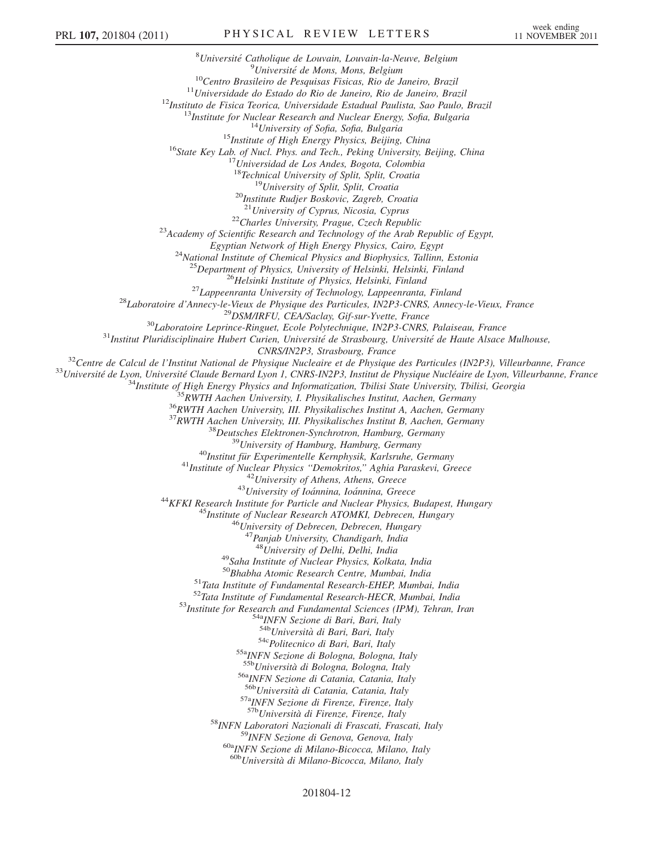<sup>8</sup>Université Catholique de Louvain, Louvain-la-Neuve, Belgium <sup>9</sup>Université de Mons, Mons, Belgium <sup>10</sup>Centro Brasileiro de Pesquisas Fisicas, Rio de Janeiro, Brazil<br><sup>11</sup>Universidade do Estado do Rio de Janeiro, Rio de Janeiro, Brazil<br><sup>12</sup>Instituto de Fisica Teorica, Universidade Estadual Paulista, Sao Paulo, Brazil<br><sup>1</sup> <sup>18</sup>Technical University of Split, Split, Croatia<br><sup>19</sup>University of Split, Split, Croatia<br><sup>20</sup>Institute Rudjer Boskovic, Zagreb, Croatia<br><sup>21</sup>University of Cyprus, Nicosia, Cyprus <sup>22</sup>Charles University, Prague, Czech Republic<br><sup>23</sup>Academy of Scientific Research and Technology of the Arab Republic of Egypt,<br>Egyptian Network of High Energy Physics, Cairo, Egypt <sup>24</sup>National Institute of Chemical Physics and Biophysics, Tallinn, Estonia <sup>25</sup>Department of Physics, University of Helsinki, Helsinki, Finland<br><sup>26</sup>Helsinki Institute of Physics, Helsinki, Finland<br><sup>27</sup>Lappeenranta University of Technology, Lappeenranta, Finland<br><sup>28</sup>Laboratoire d'Annecy-le-Vieux  $\begin{array}{c} \begin{array}{c} \text{CNRS/IN2P3, Strasbourg, France}\\ 3^3 \text{Centre de Calcul de l'Institut National de Physique V1P1900; Franco & P110000\\ 3^3 \text{University de Lyon, Université Claude Bernard Lyon 1, CNRS-IN2P3, Institute de Physique Nucleáire de Lyon, Villeurbanne, France}\\ \end{array} \\ \begin{array}{c} \begin{array}{c} \text{33} \text{University of Heurbar, D.} \\ \text{44} \text{Institute of High Energy Physics and Information, Tbilisi State University, I. P100000\\ 4^3 \text{Institute of High Energy Physics} \end{array} \\ \begin{array}{c$ <sup>47</sup> Panjab University, Chandigarh, India<br><sup>48</sup> University of Delhi, Delhi, India <sup>49</sup>Saha Institute of Nuclear Physics, Kolkata, India<br><sup>50</sup>Bhabha Atomic Research Centre, Mumbai, India <sup>51</sup>Tata Institute of Fundamental Research-EHEP, Mumbai, India<br><sup>52</sup>Tata Institute of Fundamental Research-HECR, Mumbai, India<br><sup>53</sup>Institute for Research and Fundamental Sciences (IPM), Tehran, Iran<br><sup>53</sup>Institute for Resea <sup>54c</sup>Politecnico di Bari, Bari, Italy<br><sup>55a</sup>INFN Sezione di Bologna, Bologna, Italy<br><sup>55b</sup>Università di Bologna, Bologna, Italy <sup>56a</sup>INFN Sezione di Catania, Catania, Italy<br><sup>56b</sup>Università di Catania, Catania, Italy  $57a$ <sub>INFN</sub> Sezione di Firenze, Firenze, Italy  $57b$ <sub>Università di Firenze, Firenze, Italy</sub> <sup>58</sup>INFN Laboratori Nazionali di Frascati, Frascati, Italy <sup>59</sup>INFN Sezione di Genova, Genova, Italy 60a<sub>INFN</sub> Sezione di Milano-Bicocca, Milano, Italy <sup>60b</sup>Università di Milano-Bicocca, Milano, Italy

## 201804-12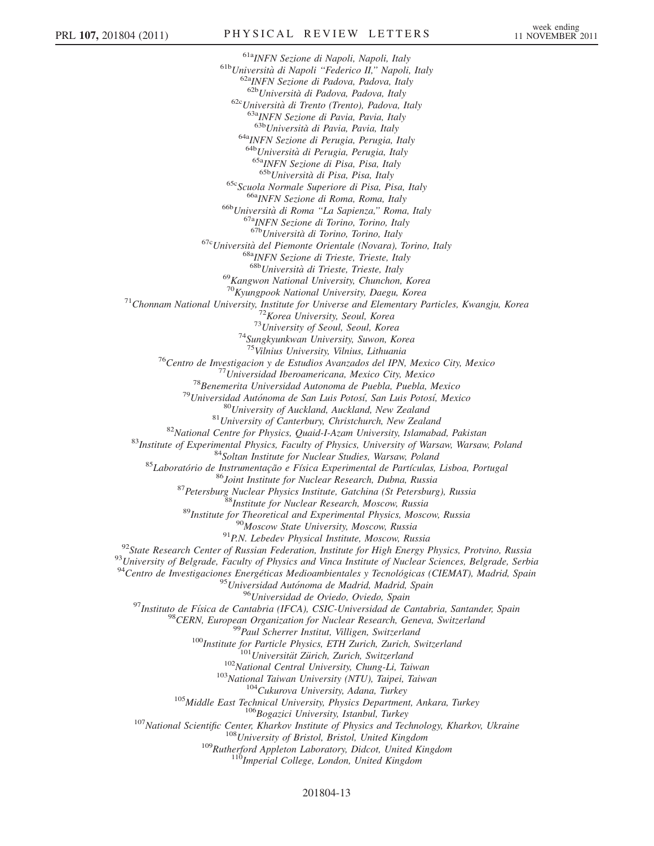<sup>61a</sup>INFN Sezione di Napoli, Napoli, Italy<br><sup>61b</sup>Università di Napoli "Federico II," Napoli, Italy <sup>62b</sup>Università di Padova, Padova, Italy <sup>62b</sup>Università di Padova, Padova, Italy <sup>62c</sup>Università di Trento (Trento), Padova, Italy <sup>63a</sup>INFN Sezione di Pavia, Pavia, Italy <sup>63b</sup>Università di Pavia, Pavia, Italy <sup>64a</sup>INFN Sezione di Perugia, Perugia, Italy <sup>64b</sup>Università di Perugia, Perugia, Italy <sup>65a</sup>INFN Sezione di Pisa, Pisa, Italy <sup>65b</sup>Università di Pisa, Pisa, Italy <sup>65c</sup>Scuola Normale Superiore di Pisa, Pisa, Italy <sup>66a</sup>INFN Sezione di Roma, Roma, Italy <sup>66b</sup>Università di Roma ''La Sapienza,'' Roma, Italy <sup>67a</sup>INFN Sezione di Torino, Torino, Italy <sup>67b</sup>Università di Torino, Torino, <sup>67c</sup>Università del Piemonte Orientale (Novara), Torino, Italy <sup>68a</sup>INFN Sezione di Trieste, Trieste, Italy <sup>68b</sup>Università di Trieste, Trieste, Italy <sup>69</sup>Kangwon National University, Chunchon, Korea<br><sup>70</sup>Kyungpook National University, Daegu, Korea <sup>71</sup>Chonnam National University, Institute for Universe and Elementary Particles, Kwangju, Korea<br><sup>72</sup>Korea University, Seoul, Korea<br><sup>73</sup>University of Seoul, Seoul, Korea<br><sup>74</sup>Sungkyunkwan University, Suwon, Korea<br><sup>75</sup>Vilni <sup>75</sup>Vilnius University, Vilnius, Lithuania<br>
<sup>75</sup>Vilnius University, Vilnius, Lithuania<br>
<sup>77</sup>Centro de Inversidaal Beroamericana, Mexico City, Mexico<br>
<sup>77</sup>Universidaal Beroamericana, Mexico City, Mexico<br>
<sup>78</sup>Benemerita Uni  $\begin{small} ^{94}\text{Centro de Investigaciones Energéticas Medioambientales y Tecnológicas (CIEMAT), Madrid, Spain\\ ^{95}\text{Universidad Autónoma de Madrid, Madrid, Spain}\\ ^{96}\text{Inisirisidad de Ovielo, Ovielo, Opiio}\\ ^{97}\text{Instituto de Física de Cantabria (IFCA), CSIC-Universidad de Cantabria, Santander, Spain}\\ ^{98}\text{CERN, European Organization for Nuclear Research, Geneva, Switzerland}\\ ^{99}\text{Paul Scherrer Institute, Wiligen, Switzerland}\\ ^{100}\text{Institute for Particle Physics, ETH Zurich, Zurich, Switzerland}\\ ^{102}\text{Nonional Central University, Chung-Li, Taiwan}\\ ^{102}\text{National Taiwan$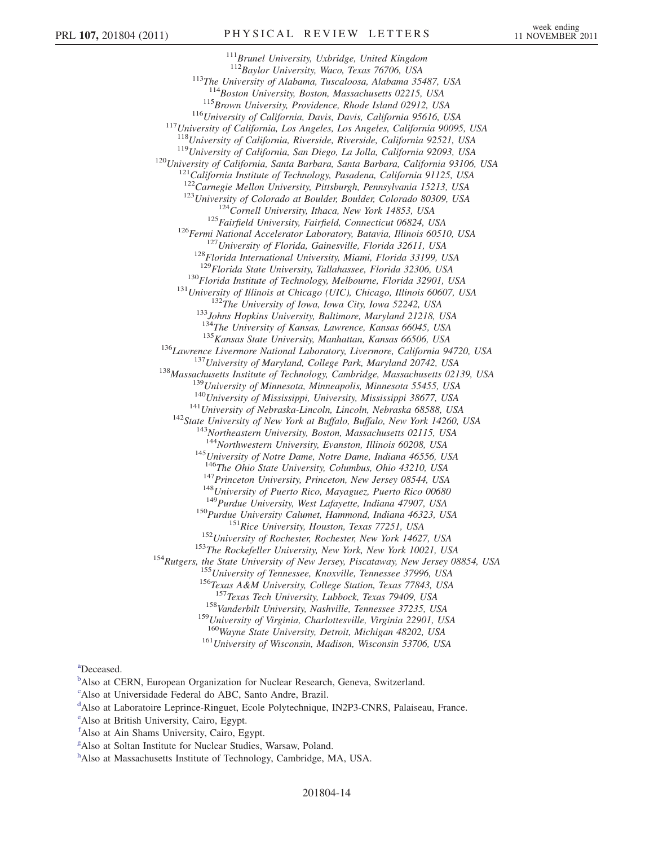<sup>111</sup>Brunel University, Uxbridge, United Kingdom<br><sup>112</sup>Baylor University, Waco, Texas 76706, USA <sup>113</sup>The University of Alabama, Tuscaloosa, Alabama 35487, USA <sup>114</sup>Boston University, Boston, Massachusetts 02215, USA <sup>115</sup>Brown University, Providence, Rhode Island 02912, USA<br><sup>116</sup>University of California, Davis, Davis, California 95616, USA<br><sup>117</sup>University of California, Los Angeles, Los Angeles, California 90095, USA<br><sup>118</sup>University <sup>119</sup>University of California, San Diego, La Jolla, California 92093, USA<br><sup>120</sup>University of California, Santa Barbara, Santa Barbara, California 93106, USA<br><sup>121</sup>California Institute of Technology, Pasadena, California 91  $^{123}University of Colorado at Boulder, Boulder, Colorado 80309, USA  
\n ^{124}Cornell University, Ithaca, New York 14853, USA  
\n ^{125} Fairfield University, Fairfield, Connecticut 06824, USA  
\n ^{126}Fermi National Accelerator Laboratory, Batavia, Illinois 60510, USA  
\n ^{127}University of Florida, Gainesville, Florida 32611, USA  
\n ^{128}Florida International University, Miami, Florida 33199, USA  
\n ^{129}Florida State University, Tallahassee, Florida 32306, USA$ <sup>130</sup>Florida Institute of Technology, Melbourne, Florida 32901, USA<br><sup>131</sup>University of Illinois at Chicago (UIC), Chicago, Illinois 60607, USA<br><sup>132</sup>The University of Iowa, Iowa City, Iowa 52242, USA<br><sup>133</sup>Johns Hopkins Uni <sup>135</sup> Kansas State University, Manhattan, Kansas 66506, USA<br><sup>136</sup> Lawrence Livermore National Laboratory, Livermore, California 94720, USA<br><sup>137</sup> University of Maryland, College Park, Maryland 20742, USA<br><sup>138</sup> Massachusett <sup>145</sup>University of Notre Dame, Notre Dame, Indiana 46556, USA <sup>146</sup>The Ohio State University, Columbus, Ohio 43210, USA <sup>147</sup>Princeton University, Princeton, New Jersey 08544, USA<br>
<sup>148</sup>University of Puerto Rico, Mayaguez, Puerto Rico 00680<br>
<sup>149</sup>Purdue University, West Lafayette, Indiana 47907, USA<br>
<sup>150</sup>Purdue University Calumet, Hammond <sup>158</sup>Vanderbilt University, Nashville, Tennessee 37235, USA <sup>159</sup>University of Virginia, Charlottesville, Virginia 22901, USA <sup>160</sup>Wayne State University, Detroit, Michigan 48202, USA <sup>161</sup>University of Wisconsin, Madison, Wisconsin 53706, USA

a Deceased.

<sup>b</sup>Also at CERN, European Organization for Nuclear Research, Geneva, Switzerland.

c Also at Universidade Federal do ABC, Santo Andre, Brazil.

<sup>d</sup>Also at Laboratoire Leprince-Ringuet, Ecole Polytechnique, IN2P3-CNRS, Palaiseau, France.

e<br>Also at British University, Cairo, Egypt.

f Also at Ain Shams University, Cairo, Egypt.

g Also at Soltan Institute for Nuclear Studies, Warsaw, Poland.

h Also at Massachusetts Institute of Technology, Cambridge, MA, USA.

201804-14